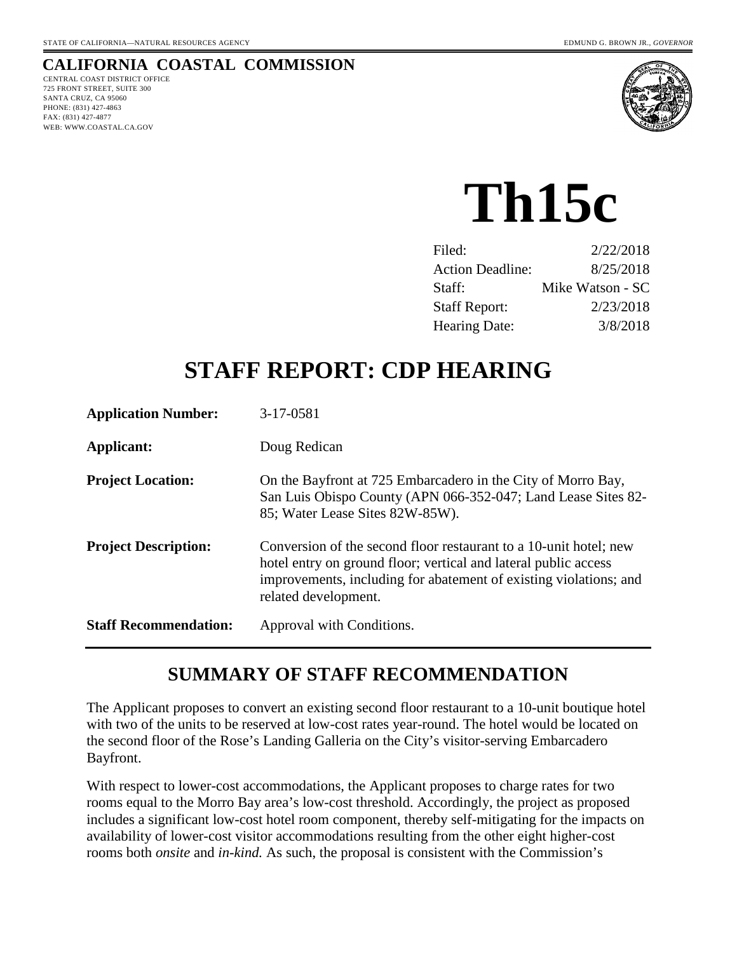## **CALIFORNIA COASTAL COMMISSION**

CENTRAL COAST DISTRICT OFFICE 725 FRONT STREET, SUITE 300 SANTA CRUZ, CA 95060 PHONE: (831) 427-4863 FAX: (831) 427-4877 WEB: WWW.COASTAL.CA.GOV



# **Th15c**

| Filed:                  | 2/22/2018        |
|-------------------------|------------------|
| <b>Action Deadline:</b> | 8/25/2018        |
| Staff:                  | Mike Watson - SC |
| <b>Staff Report:</b>    | 2/23/2018        |
| <b>Hearing Date:</b>    | 3/8/2018         |

# **STAFF REPORT: CDP HEARING**

| <b>Application Number:</b>   | 3-17-0581                                                                                                                                                                                                                         |
|------------------------------|-----------------------------------------------------------------------------------------------------------------------------------------------------------------------------------------------------------------------------------|
| Applicant:                   | Doug Redican                                                                                                                                                                                                                      |
| <b>Project Location:</b>     | On the Bayfront at 725 Embarcadero in the City of Morro Bay,<br>San Luis Obispo County (APN 066-352-047; Land Lease Sites 82-<br>85; Water Lease Sites 82W-85W).                                                                  |
| <b>Project Description:</b>  | Conversion of the second floor restaurant to a 10-unit hotel; new<br>hotel entry on ground floor; vertical and lateral public access<br>improvements, including for abatement of existing violations; and<br>related development. |
| <b>Staff Recommendation:</b> | Approval with Conditions.                                                                                                                                                                                                         |

# **SUMMARY OF STAFF RECOMMENDATION**

The Applicant proposes to convert an existing second floor restaurant to a 10-unit boutique hotel with two of the units to be reserved at low-cost rates year-round. The hotel would be located on the second floor of the Rose's Landing Galleria on the City's visitor-serving Embarcadero Bayfront.

With respect to lower-cost accommodations, the Applicant proposes to charge rates for two rooms equal to the Morro Bay area's low-cost threshold. Accordingly, the project as proposed includes a significant low-cost hotel room component, thereby self-mitigating for the impacts on availability of lower-cost visitor accommodations resulting from the other eight higher-cost rooms both *onsite* and *in-kind.* As such, the proposal is consistent with the Commission's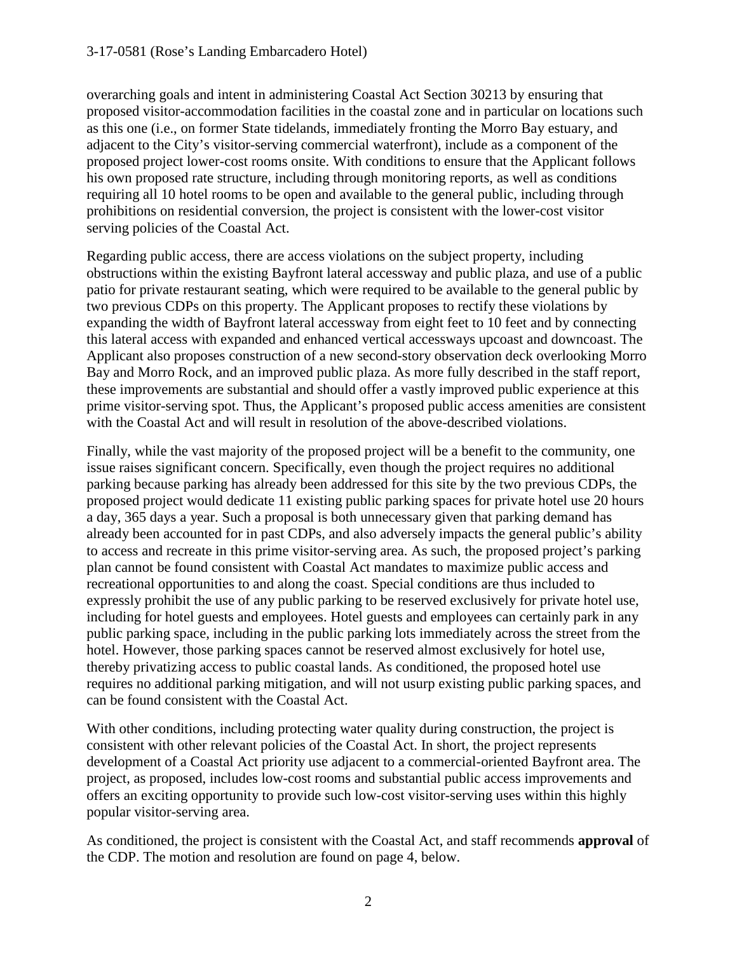overarching goals and intent in administering Coastal Act Section 30213 by ensuring that proposed visitor-accommodation facilities in the coastal zone and in particular on locations such as this one (i.e., on former State tidelands, immediately fronting the Morro Bay estuary, and adjacent to the City's visitor-serving commercial waterfront), include as a component of the proposed project lower-cost rooms onsite. With conditions to ensure that the Applicant follows his own proposed rate structure, including through monitoring reports, as well as conditions requiring all 10 hotel rooms to be open and available to the general public, including through prohibitions on residential conversion, the project is consistent with the lower-cost visitor serving policies of the Coastal Act.

Regarding public access, there are access violations on the subject property, including obstructions within the existing Bayfront lateral accessway and public plaza, and use of a public patio for private restaurant seating, which were required to be available to the general public by two previous CDPs on this property. The Applicant proposes to rectify these violations by expanding the width of Bayfront lateral accessway from eight feet to 10 feet and by connecting this lateral access with expanded and enhanced vertical accessways upcoast and downcoast. The Applicant also proposes construction of a new second-story observation deck overlooking Morro Bay and Morro Rock, and an improved public plaza. As more fully described in the staff report, these improvements are substantial and should offer a vastly improved public experience at this prime visitor-serving spot. Thus, the Applicant's proposed public access amenities are consistent with the Coastal Act and will result in resolution of the above-described violations.

Finally, while the vast majority of the proposed project will be a benefit to the community, one issue raises significant concern. Specifically, even though the project requires no additional parking because parking has already been addressed for this site by the two previous CDPs, the proposed project would dedicate 11 existing public parking spaces for private hotel use 20 hours a day, 365 days a year. Such a proposal is both unnecessary given that parking demand has already been accounted for in past CDPs, and also adversely impacts the general public's ability to access and recreate in this prime visitor-serving area. As such, the proposed project's parking plan cannot be found consistent with Coastal Act mandates to maximize public access and recreational opportunities to and along the coast. Special conditions are thus included to expressly prohibit the use of any public parking to be reserved exclusively for private hotel use, including for hotel guests and employees. Hotel guests and employees can certainly park in any public parking space, including in the public parking lots immediately across the street from the hotel. However, those parking spaces cannot be reserved almost exclusively for hotel use, thereby privatizing access to public coastal lands. As conditioned, the proposed hotel use requires no additional parking mitigation, and will not usurp existing public parking spaces, and can be found consistent with the Coastal Act.

With other conditions, including protecting water quality during construction, the project is consistent with other relevant policies of the Coastal Act. In short, the project represents development of a Coastal Act priority use adjacent to a commercial-oriented Bayfront area. The project, as proposed, includes low-cost rooms and substantial public access improvements and offers an exciting opportunity to provide such low-cost visitor-serving uses within this highly popular visitor-serving area.

As conditioned, the project is consistent with the Coastal Act, and staff recommends **approval** of the CDP. The motion and resolution are found on page 4, below.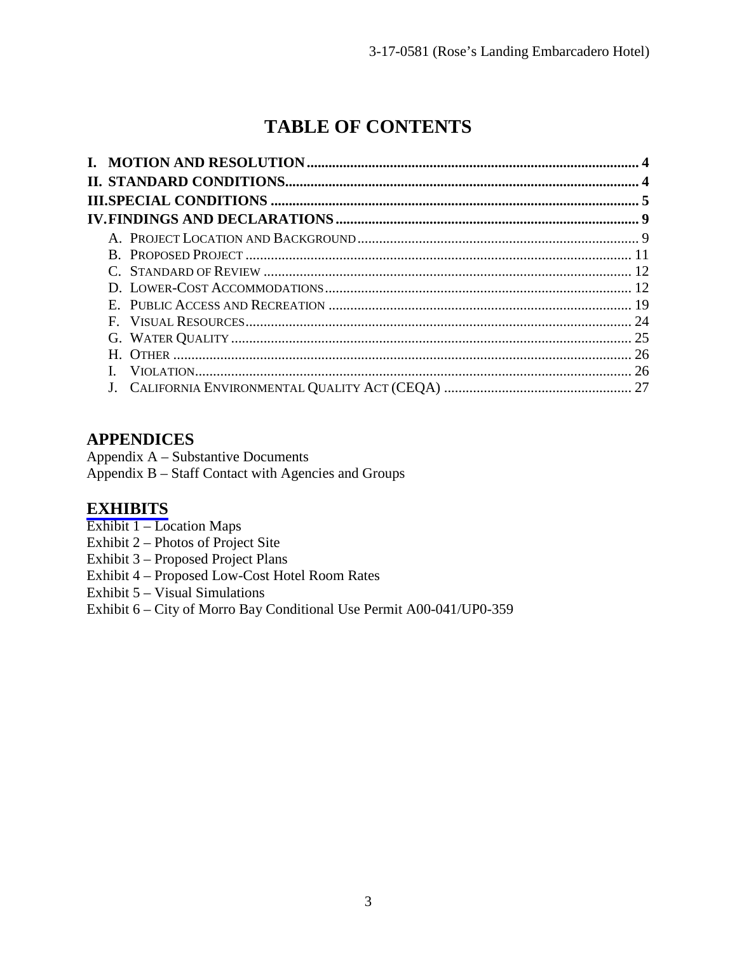# **TABLE OF CONTENTS**

# **APPENDICES**

Appendix A – Substantive Documents

Appendix B – Staff Contact with Agencies and Groups

## **[EXHIBITS](https://documents.coastal.ca.gov/reports/2018/2/th15c/th15c-2-2018-exhibits.pdf)**

- Exhibit 1 Location Maps
- Exhibit 2 Photos of Project Site
- Exhibit 3 Proposed Project Plans
- Exhibit 4 Proposed Low-Cost Hotel Room Rates
- Exhibit 5 Visual Simulations

Exhibit 6 – City of Morro Bay Conditional Use Permit A00-041/UP0-359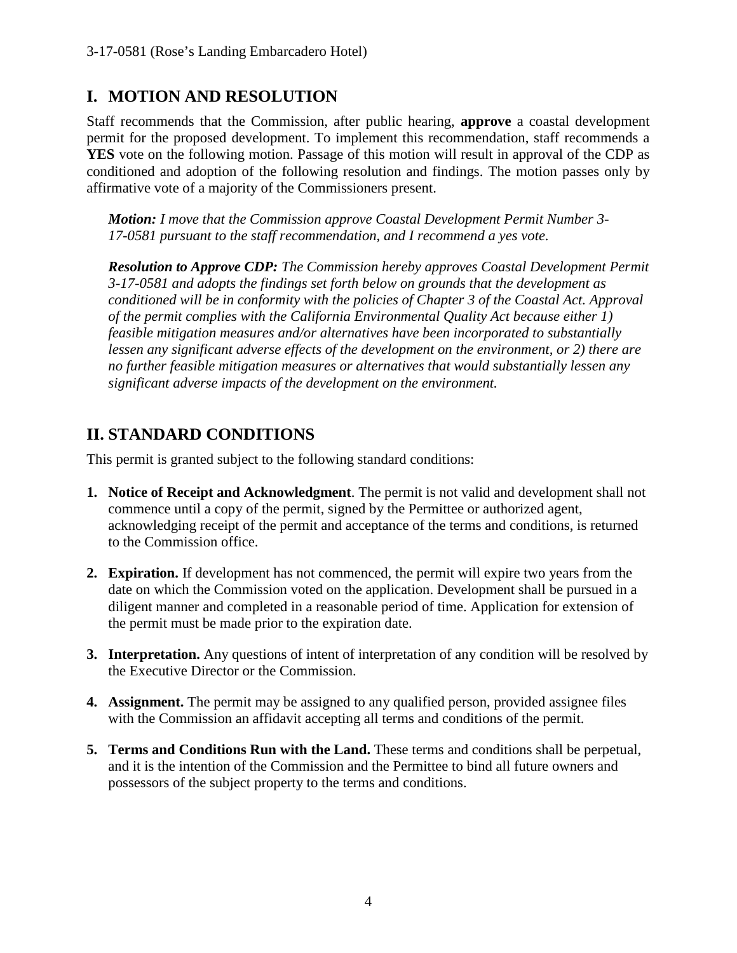# **I. MOTION AND RESOLUTION**

Staff recommends that the Commission, after public hearing, **approve** a coastal development permit for the proposed development. To implement this recommendation, staff recommends a **YES** vote on the following motion. Passage of this motion will result in approval of the CDP as conditioned and adoption of the following resolution and findings. The motion passes only by affirmative vote of a majority of the Commissioners present.

*Motion: I move that the Commission approve Coastal Development Permit Number 3- 17-0581 pursuant to the staff recommendation, and I recommend a yes vote.* 

*Resolution to Approve CDP: The Commission hereby approves Coastal Development Permit 3-17-0581 and adopts the findings set forth below on grounds that the development as conditioned will be in conformity with the policies of Chapter 3 of the Coastal Act. Approval of the permit complies with the California Environmental Quality Act because either 1) feasible mitigation measures and/or alternatives have been incorporated to substantially lessen any significant adverse effects of the development on the environment, or 2) there are no further feasible mitigation measures or alternatives that would substantially lessen any significant adverse impacts of the development on the environment.*

# **II. STANDARD CONDITIONS**

This permit is granted subject to the following standard conditions:

- **1. Notice of Receipt and Acknowledgment**. The permit is not valid and development shall not commence until a copy of the permit, signed by the Permittee or authorized agent, acknowledging receipt of the permit and acceptance of the terms and conditions, is returned to the Commission office.
- **2. Expiration.** If development has not commenced, the permit will expire two years from the date on which the Commission voted on the application. Development shall be pursued in a diligent manner and completed in a reasonable period of time. Application for extension of the permit must be made prior to the expiration date.
- **3. Interpretation.** Any questions of intent of interpretation of any condition will be resolved by the Executive Director or the Commission.
- **4. Assignment.** The permit may be assigned to any qualified person, provided assignee files with the Commission an affidavit accepting all terms and conditions of the permit.
- **5. Terms and Conditions Run with the Land.** These terms and conditions shall be perpetual, and it is the intention of the Commission and the Permittee to bind all future owners and possessors of the subject property to the terms and conditions.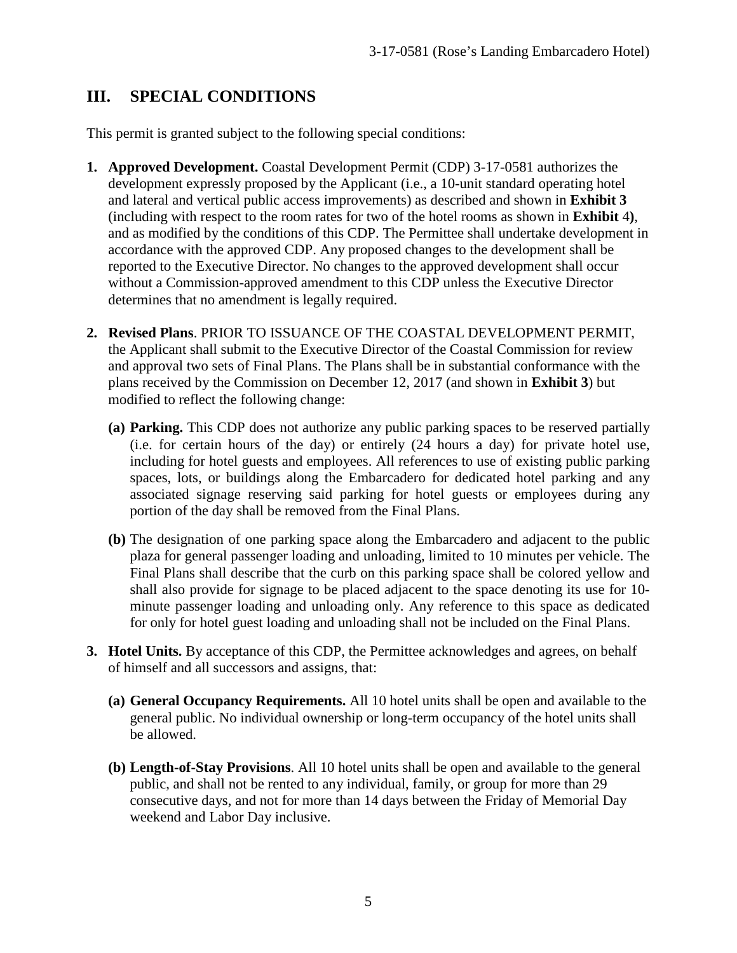# **III. SPECIAL CONDITIONS**

This permit is granted subject to the following special conditions:

- **1. Approved Development.** Coastal Development Permit (CDP) 3-17-0581 authorizes the development expressly proposed by the Applicant (i.e., a 10-unit standard operating hotel and lateral and vertical public access improvements) as described and shown in **Exhibit 3** (including with respect to the room rates for two of the hotel rooms as shown in **Exhibit** 4**)**, and as modified by the conditions of this CDP. The Permittee shall undertake development in accordance with the approved CDP. Any proposed changes to the development shall be reported to the Executive Director. No changes to the approved development shall occur without a Commission-approved amendment to this CDP unless the Executive Director determines that no amendment is legally required.
- **2. Revised Plans**. PRIOR TO ISSUANCE OF THE COASTAL DEVELOPMENT PERMIT, the Applicant shall submit to the Executive Director of the Coastal Commission for review and approval two sets of Final Plans. The Plans shall be in substantial conformance with the plans received by the Commission on December 12, 2017 (and shown in **Exhibit 3**) but modified to reflect the following change:
	- **(a) Parking.** This CDP does not authorize any public parking spaces to be reserved partially (i.e. for certain hours of the day) or entirely (24 hours a day) for private hotel use, including for hotel guests and employees. All references to use of existing public parking spaces, lots, or buildings along the Embarcadero for dedicated hotel parking and any associated signage reserving said parking for hotel guests or employees during any portion of the day shall be removed from the Final Plans.
	- **(b)** The designation of one parking space along the Embarcadero and adjacent to the public plaza for general passenger loading and unloading, limited to 10 minutes per vehicle. The Final Plans shall describe that the curb on this parking space shall be colored yellow and shall also provide for signage to be placed adjacent to the space denoting its use for 10 minute passenger loading and unloading only. Any reference to this space as dedicated for only for hotel guest loading and unloading shall not be included on the Final Plans.
- **3. Hotel Units.** By acceptance of this CDP, the Permittee acknowledges and agrees, on behalf of himself and all successors and assigns, that:
	- **(a) General Occupancy Requirements.** All 10 hotel units shall be open and available to the general public. No individual ownership or long-term occupancy of the hotel units shall be allowed.
	- **(b) Length-of-Stay Provisions**. All 10 hotel units shall be open and available to the general public, and shall not be rented to any individual, family, or group for more than 29 consecutive days, and not for more than 14 days between the Friday of Memorial Day weekend and Labor Day inclusive.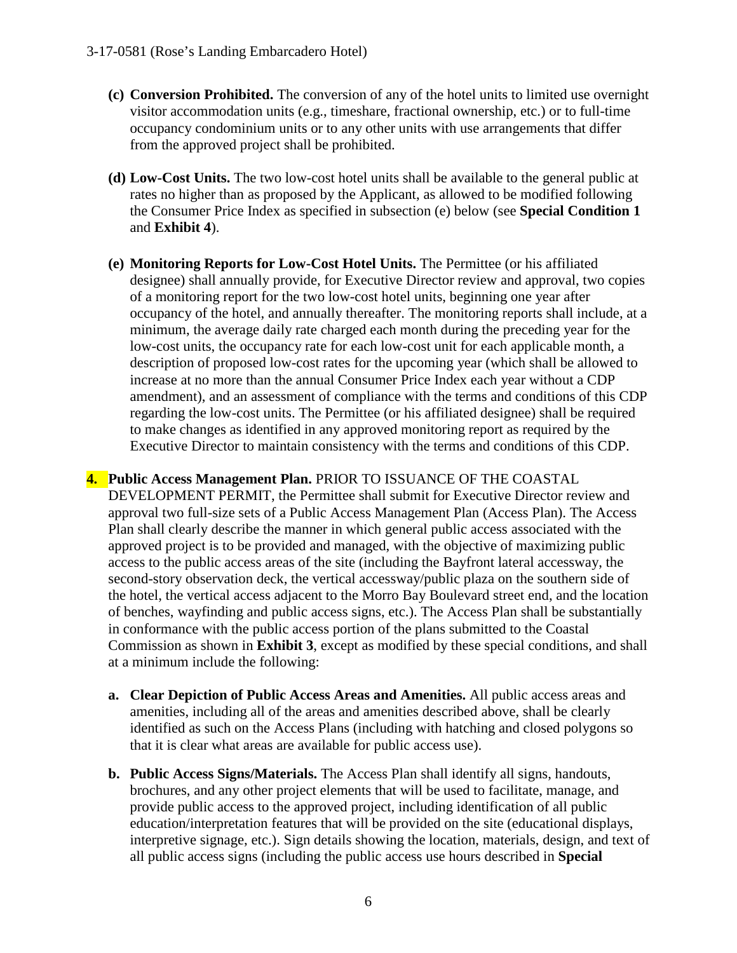- **(c) Conversion Prohibited.** The conversion of any of the hotel units to limited use overnight visitor accommodation units (e.g., timeshare, fractional ownership, etc.) or to full-time occupancy condominium units or to any other units with use arrangements that differ from the approved project shall be prohibited.
- **(d) Low-Cost Units.** The two low-cost hotel units shall be available to the general public at rates no higher than as proposed by the Applicant, as allowed to be modified following the Consumer Price Index as specified in subsection (e) below (see **Special Condition 1**  and **Exhibit 4**).
- **(e) Monitoring Reports for Low-Cost Hotel Units.** The Permittee (or his affiliated designee) shall annually provide, for Executive Director review and approval, two copies of a monitoring report for the two low-cost hotel units, beginning one year after occupancy of the hotel, and annually thereafter. The monitoring reports shall include, at a minimum, the average daily rate charged each month during the preceding year for the low-cost units, the occupancy rate for each low-cost unit for each applicable month, a description of proposed low-cost rates for the upcoming year (which shall be allowed to increase at no more than the annual Consumer Price Index each year without a CDP amendment), and an assessment of compliance with the terms and conditions of this CDP regarding the low-cost units. The Permittee (or his affiliated designee) shall be required to make changes as identified in any approved monitoring report as required by the Executive Director to maintain consistency with the terms and conditions of this CDP.

**4. Public Access Management Plan.** PRIOR TO ISSUANCE OF THE COASTAL DEVELOPMENT PERMIT, the Permittee shall submit for Executive Director review and approval two full-size sets of a Public Access Management Plan (Access Plan). The Access Plan shall clearly describe the manner in which general public access associated with the approved project is to be provided and managed, with the objective of maximizing public access to the public access areas of the site (including the Bayfront lateral accessway, the second-story observation deck, the vertical accessway/public plaza on the southern side of the hotel, the vertical access adjacent to the Morro Bay Boulevard street end, and the location of benches, wayfinding and public access signs, etc.). The Access Plan shall be substantially in conformance with the public access portion of the plans submitted to the Coastal Commission as shown in **Exhibit 3**, except as modified by these special conditions, and shall at a minimum include the following:

- **a. Clear Depiction of Public Access Areas and Amenities.** All public access areas and amenities, including all of the areas and amenities described above, shall be clearly identified as such on the Access Plans (including with hatching and closed polygons so that it is clear what areas are available for public access use).
- **b. Public Access Signs/Materials.** The Access Plan shall identify all signs, handouts, brochures, and any other project elements that will be used to facilitate, manage, and provide public access to the approved project, including identification of all public education/interpretation features that will be provided on the site (educational displays, interpretive signage, etc.). Sign details showing the location, materials, design, and text of all public access signs (including the public access use hours described in **Special**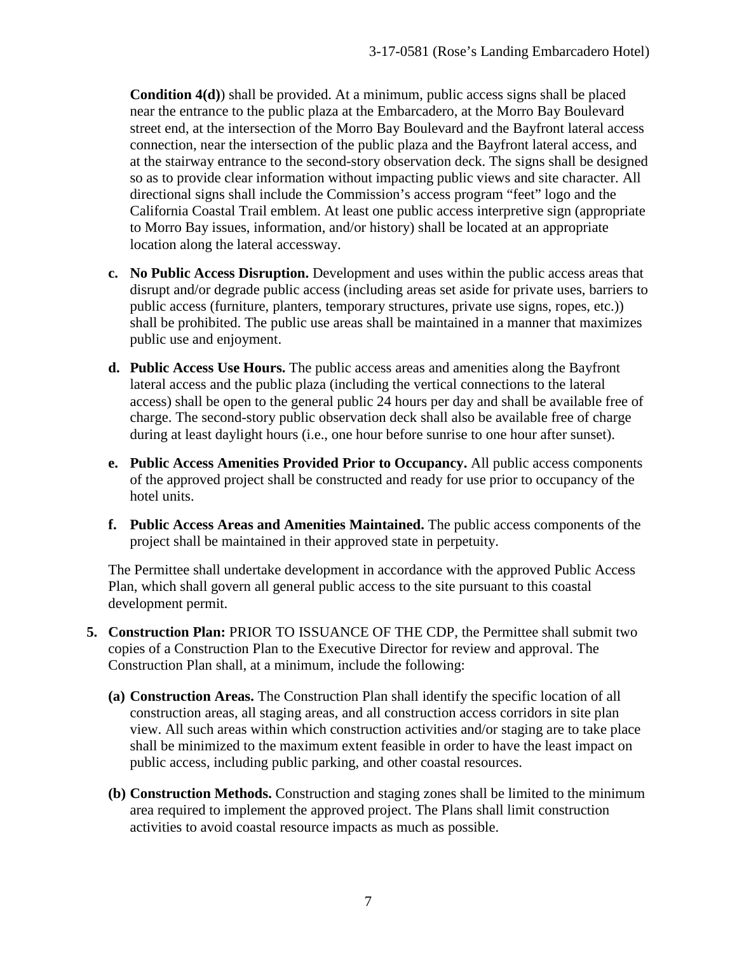**Condition 4(d)**) shall be provided. At a minimum, public access signs shall be placed near the entrance to the public plaza at the Embarcadero, at the Morro Bay Boulevard street end, at the intersection of the Morro Bay Boulevard and the Bayfront lateral access connection, near the intersection of the public plaza and the Bayfront lateral access, and at the stairway entrance to the second-story observation deck. The signs shall be designed so as to provide clear information without impacting public views and site character. All directional signs shall include the Commission's access program "feet" logo and the California Coastal Trail emblem. At least one public access interpretive sign (appropriate to Morro Bay issues, information, and/or history) shall be located at an appropriate location along the lateral accessway.

- **c. No Public Access Disruption.** Development and uses within the public access areas that disrupt and/or degrade public access (including areas set aside for private uses, barriers to public access (furniture, planters, temporary structures, private use signs, ropes, etc.)) shall be prohibited. The public use areas shall be maintained in a manner that maximizes public use and enjoyment.
- **d. Public Access Use Hours.** The public access areas and amenities along the Bayfront lateral access and the public plaza (including the vertical connections to the lateral access) shall be open to the general public 24 hours per day and shall be available free of charge. The second-story public observation deck shall also be available free of charge during at least daylight hours (i.e., one hour before sunrise to one hour after sunset).
- **e. Public Access Amenities Provided Prior to Occupancy.** All public access components of the approved project shall be constructed and ready for use prior to occupancy of the hotel units.
- **f. Public Access Areas and Amenities Maintained.** The public access components of the project shall be maintained in their approved state in perpetuity.

The Permittee shall undertake development in accordance with the approved Public Access Plan, which shall govern all general public access to the site pursuant to this coastal development permit.

- **5. Construction Plan:** PRIOR TO ISSUANCE OF THE CDP, the Permittee shall submit two copies of a Construction Plan to the Executive Director for review and approval. The Construction Plan shall, at a minimum, include the following:
	- **(a) Construction Areas.** The Construction Plan shall identify the specific location of all construction areas, all staging areas, and all construction access corridors in site plan view. All such areas within which construction activities and/or staging are to take place shall be minimized to the maximum extent feasible in order to have the least impact on public access, including public parking, and other coastal resources.
	- **(b) Construction Methods.** Construction and staging zones shall be limited to the minimum area required to implement the approved project. The Plans shall limit construction activities to avoid coastal resource impacts as much as possible.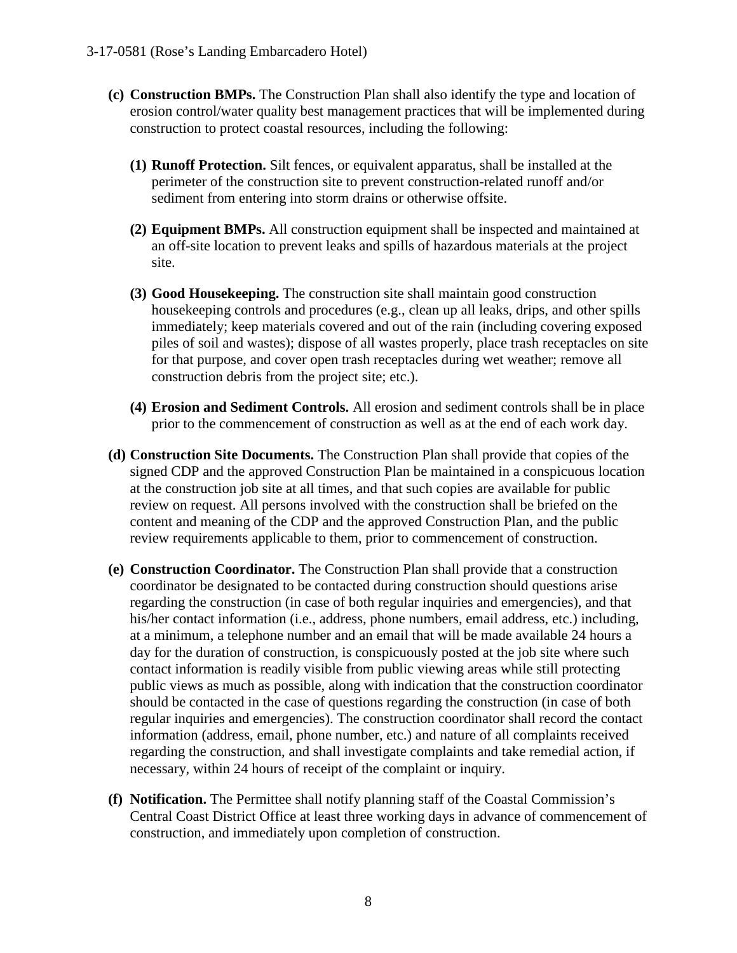- **(c) Construction BMPs.** The Construction Plan shall also identify the type and location of erosion control/water quality best management practices that will be implemented during construction to protect coastal resources, including the following:
	- **(1) Runoff Protection.** Silt fences, or equivalent apparatus, shall be installed at the perimeter of the construction site to prevent construction-related runoff and/or sediment from entering into storm drains or otherwise offsite.
	- **(2) Equipment BMPs.** All construction equipment shall be inspected and maintained at an off-site location to prevent leaks and spills of hazardous materials at the project site.
	- **(3) Good Housekeeping.** The construction site shall maintain good construction housekeeping controls and procedures (e.g., clean up all leaks, drips, and other spills immediately; keep materials covered and out of the rain (including covering exposed piles of soil and wastes); dispose of all wastes properly, place trash receptacles on site for that purpose, and cover open trash receptacles during wet weather; remove all construction debris from the project site; etc.).
	- **(4) Erosion and Sediment Controls.** All erosion and sediment controls shall be in place prior to the commencement of construction as well as at the end of each work day.
- **(d) Construction Site Documents.** The Construction Plan shall provide that copies of the signed CDP and the approved Construction Plan be maintained in a conspicuous location at the construction job site at all times, and that such copies are available for public review on request. All persons involved with the construction shall be briefed on the content and meaning of the CDP and the approved Construction Plan, and the public review requirements applicable to them, prior to commencement of construction.
- **(e) Construction Coordinator.** The Construction Plan shall provide that a construction coordinator be designated to be contacted during construction should questions arise regarding the construction (in case of both regular inquiries and emergencies), and that his/her contact information (i.e., address, phone numbers, email address, etc.) including, at a minimum, a telephone number and an email that will be made available 24 hours a day for the duration of construction, is conspicuously posted at the job site where such contact information is readily visible from public viewing areas while still protecting public views as much as possible, along with indication that the construction coordinator should be contacted in the case of questions regarding the construction (in case of both regular inquiries and emergencies). The construction coordinator shall record the contact information (address, email, phone number, etc.) and nature of all complaints received regarding the construction, and shall investigate complaints and take remedial action, if necessary, within 24 hours of receipt of the complaint or inquiry.
- **(f) Notification.** The Permittee shall notify planning staff of the Coastal Commission's Central Coast District Office at least three working days in advance of commencement of construction, and immediately upon completion of construction.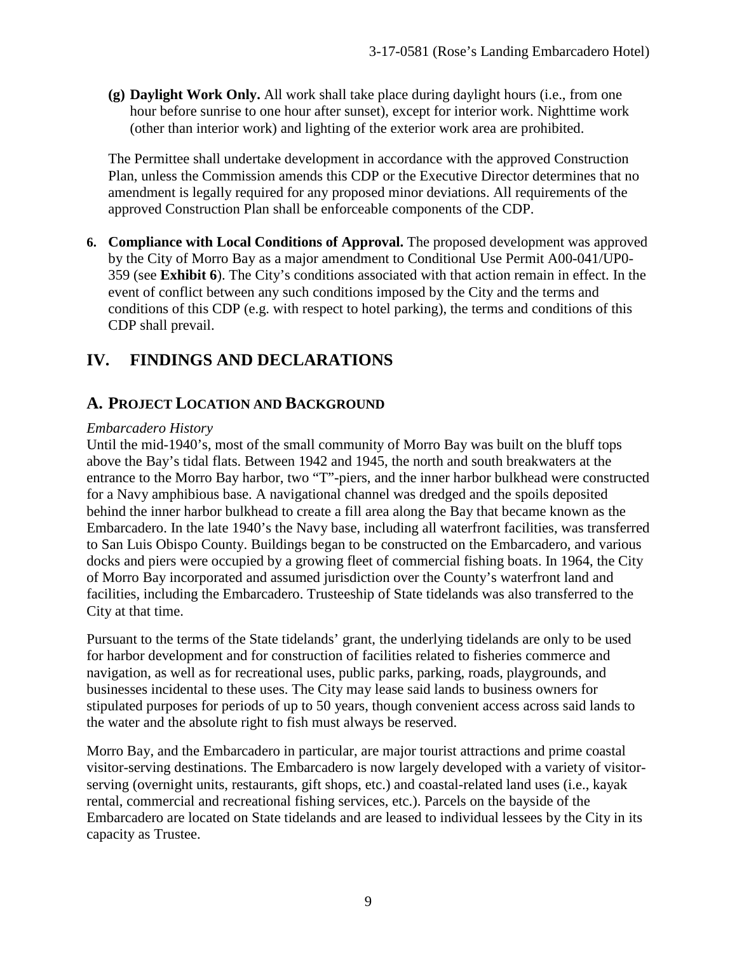**(g) Daylight Work Only.** All work shall take place during daylight hours (i.e., from one hour before sunrise to one hour after sunset), except for interior work. Nighttime work (other than interior work) and lighting of the exterior work area are prohibited.

The Permittee shall undertake development in accordance with the approved Construction Plan, unless the Commission amends this CDP or the Executive Director determines that no amendment is legally required for any proposed minor deviations. All requirements of the approved Construction Plan shall be enforceable components of the CDP.

**6. Compliance with Local Conditions of Approval.** The proposed development was approved by the City of Morro Bay as a major amendment to Conditional Use Permit A00-041/UP0- 359 (see **Exhibit 6**). The City's conditions associated with that action remain in effect. In the event of conflict between any such conditions imposed by the City and the terms and conditions of this CDP (e.g. with respect to hotel parking), the terms and conditions of this CDP shall prevail.

# **IV. FINDINGS AND DECLARATIONS**

## **A. PROJECT LOCATION AND BACKGROUND**

#### *Embarcadero History*

Until the mid-1940's, most of the small community of Morro Bay was built on the bluff tops above the Bay's tidal flats. Between 1942 and 1945, the north and south breakwaters at the entrance to the Morro Bay harbor, two "T"-piers, and the inner harbor bulkhead were constructed for a Navy amphibious base. A navigational channel was dredged and the spoils deposited behind the inner harbor bulkhead to create a fill area along the Bay that became known as the Embarcadero. In the late 1940's the Navy base, including all waterfront facilities, was transferred to San Luis Obispo County. Buildings began to be constructed on the Embarcadero, and various docks and piers were occupied by a growing fleet of commercial fishing boats. In 1964, the City of Morro Bay incorporated and assumed jurisdiction over the County's waterfront land and facilities, including the Embarcadero. Trusteeship of State tidelands was also transferred to the City at that time.

Pursuant to the terms of the State tidelands' grant, the underlying tidelands are only to be used for harbor development and for construction of facilities related to fisheries commerce and navigation, as well as for recreational uses, public parks, parking, roads, playgrounds, and businesses incidental to these uses. The City may lease said lands to business owners for stipulated purposes for periods of up to 50 years, though convenient access across said lands to the water and the absolute right to fish must always be reserved.

Morro Bay, and the Embarcadero in particular, are major tourist attractions and prime coastal visitor-serving destinations. The Embarcadero is now largely developed with a variety of visitorserving (overnight units, restaurants, gift shops, etc.) and coastal-related land uses (i.e., kayak rental, commercial and recreational fishing services, etc.). Parcels on the bayside of the Embarcadero are located on State tidelands and are leased to individual lessees by the City in its capacity as Trustee.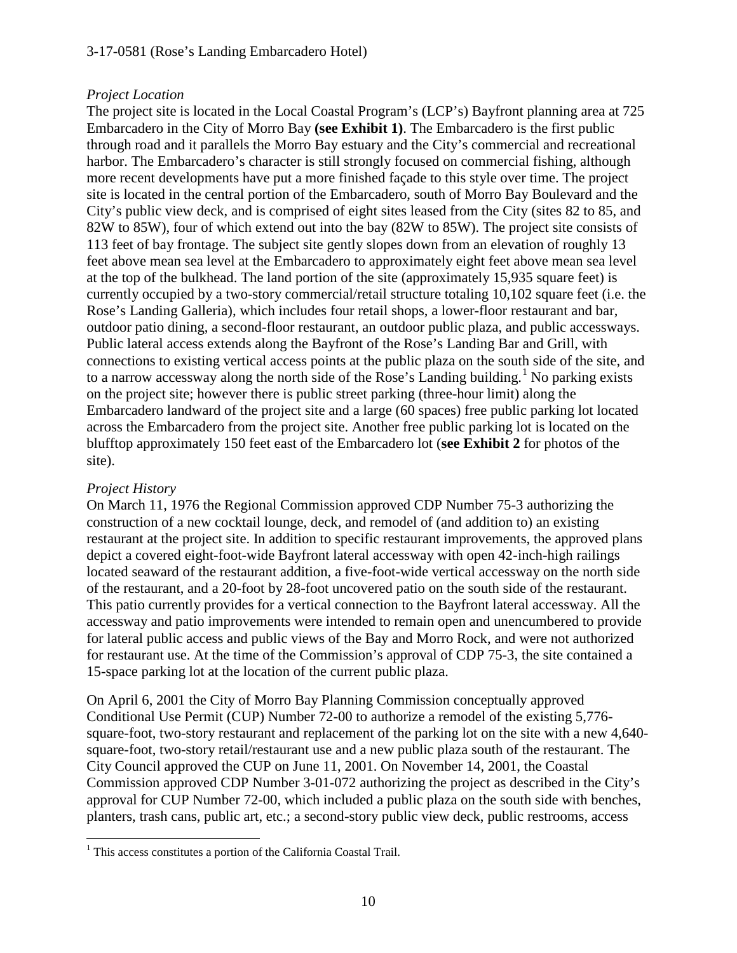#### 3-17-0581 (Rose's Landing Embarcadero Hotel)

#### *Project Location*

The project site is located in the Local Coastal Program's (LCP's) Bayfront planning area at 725 Embarcadero in the City of Morro Bay **(see Exhibit 1)**. The Embarcadero is the first public through road and it parallels the Morro Bay estuary and the City's commercial and recreational harbor. The Embarcadero's character is still strongly focused on commercial fishing, although more recent developments have put a more finished façade to this style over time. The project site is located in the central portion of the Embarcadero, south of Morro Bay Boulevard and the City's public view deck, and is comprised of eight sites leased from the City (sites 82 to 85, and 82W to 85W), four of which extend out into the bay (82W to 85W). The project site consists of 113 feet of bay frontage. The subject site gently slopes down from an elevation of roughly 13 feet above mean sea level at the Embarcadero to approximately eight feet above mean sea level at the top of the bulkhead. The land portion of the site (approximately 15,935 square feet) is currently occupied by a two-story commercial/retail structure totaling 10,102 square feet (i.e. the Rose's Landing Galleria), which includes four retail shops, a lower-floor restaurant and bar, outdoor patio dining, a second-floor restaurant, an outdoor public plaza, and public accessways. Public lateral access extends along the Bayfront of the Rose's Landing Bar and Grill, with connections to existing vertical access points at the public plaza on the south side of the site, and to a narrow accessway along the north side of the Rose's Landing building.<sup>[1](#page-9-0)</sup> No parking exists on the project site; however there is public street parking (three-hour limit) along the Embarcadero landward of the project site and a large (60 spaces) free public parking lot located across the Embarcadero from the project site. Another free public parking lot is located on the blufftop approximately 150 feet east of the Embarcadero lot (**see Exhibit 2** for photos of the site).

#### *Project History*

On March 11, 1976 the Regional Commission approved CDP Number 75-3 authorizing the construction of a new cocktail lounge, deck, and remodel of (and addition to) an existing restaurant at the project site. In addition to specific restaurant improvements, the approved plans depict a covered eight-foot-wide Bayfront lateral accessway with open 42-inch-high railings located seaward of the restaurant addition, a five-foot-wide vertical accessway on the north side of the restaurant, and a 20-foot by 28-foot uncovered patio on the south side of the restaurant. This patio currently provides for a vertical connection to the Bayfront lateral accessway. All the accessway and patio improvements were intended to remain open and unencumbered to provide for lateral public access and public views of the Bay and Morro Rock, and were not authorized for restaurant use. At the time of the Commission's approval of CDP 75-3, the site contained a 15-space parking lot at the location of the current public plaza.

On April 6, 2001 the City of Morro Bay Planning Commission conceptually approved Conditional Use Permit (CUP) Number 72-00 to authorize a remodel of the existing 5,776 square-foot, two-story restaurant and replacement of the parking lot on the site with a new 4,640 square-foot, two-story retail/restaurant use and a new public plaza south of the restaurant. The City Council approved the CUP on June 11, 2001. On November 14, 2001, the Coastal Commission approved CDP Number 3-01-072 authorizing the project as described in the City's approval for CUP Number 72-00, which included a public plaza on the south side with benches, planters, trash cans, public art, etc.; a second-story public view deck, public restrooms, access

<span id="page-9-0"></span> $\overline{a}$ <sup>1</sup> This access constitutes a portion of the California Coastal Trail.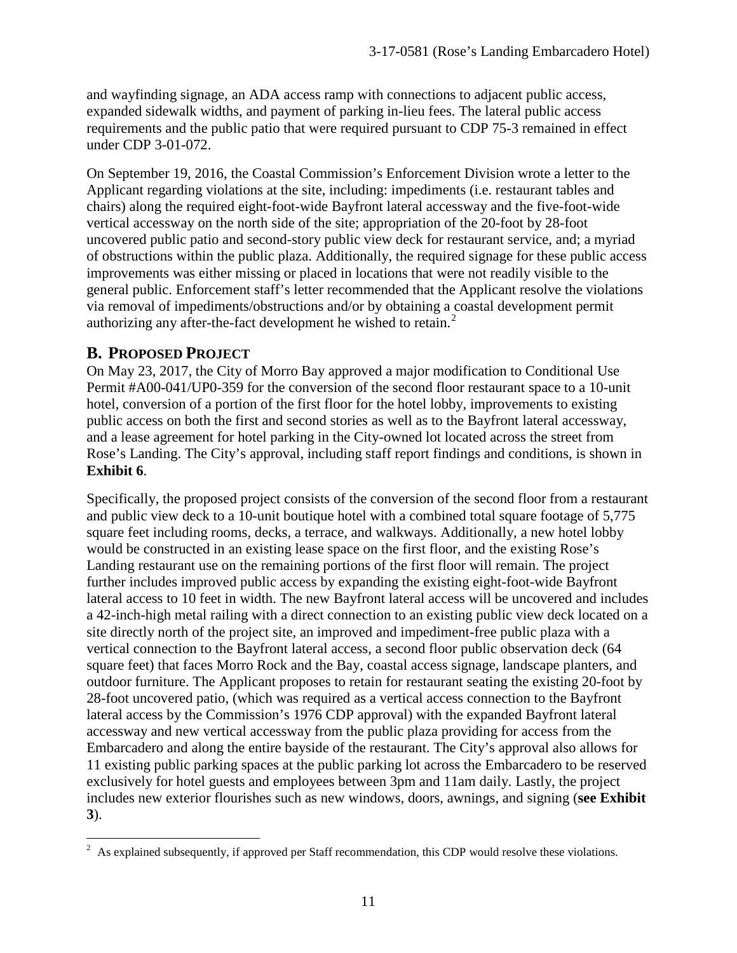and wayfinding signage, an ADA access ramp with connections to adjacent public access, expanded sidewalk widths, and payment of parking in-lieu fees. The lateral public access requirements and the public patio that were required pursuant to CDP 75-3 remained in effect under CDP 3-01-072.

On September 19, 2016, the Coastal Commission's Enforcement Division wrote a letter to the Applicant regarding violations at the site, including: impediments (i.e. restaurant tables and chairs) along the required eight-foot-wide Bayfront lateral accessway and the five-foot-wide vertical accessway on the north side of the site; appropriation of the 20-foot by 28-foot uncovered public patio and second-story public view deck for restaurant service, and; a myriad of obstructions within the public plaza. Additionally, the required signage for these public access improvements was either missing or placed in locations that were not readily visible to the general public. Enforcement staff's letter recommended that the Applicant resolve the violations via removal of impediments/obstructions and/or by obtaining a coastal development permit authorizing any after-the-fact development he wished to retain. [2](#page-10-0)

## **B. PROPOSED PROJECT**

On May 23, 2017, the City of Morro Bay approved a major modification to Conditional Use Permit #A00-041/UP0-359 for the conversion of the second floor restaurant space to a 10-unit hotel, conversion of a portion of the first floor for the hotel lobby, improvements to existing public access on both the first and second stories as well as to the Bayfront lateral accessway, and a lease agreement for hotel parking in the City-owned lot located across the street from Rose's Landing. The City's approval, including staff report findings and conditions, is shown in **Exhibit 6**.

Specifically, the proposed project consists of the conversion of the second floor from a restaurant and public view deck to a 10-unit boutique hotel with a combined total square footage of 5,775 square feet including rooms, decks, a terrace, and walkways. Additionally, a new hotel lobby would be constructed in an existing lease space on the first floor, and the existing Rose's Landing restaurant use on the remaining portions of the first floor will remain. The project further includes improved public access by expanding the existing eight-foot-wide Bayfront lateral access to 10 feet in width. The new Bayfront lateral access will be uncovered and includes a 42-inch-high metal railing with a direct connection to an existing public view deck located on a site directly north of the project site, an improved and impediment-free public plaza with a vertical connection to the Bayfront lateral access, a second floor public observation deck (64 square feet) that faces Morro Rock and the Bay, coastal access signage, landscape planters, and outdoor furniture. The Applicant proposes to retain for restaurant seating the existing 20-foot by 28-foot uncovered patio, (which was required as a vertical access connection to the Bayfront lateral access by the Commission's 1976 CDP approval) with the expanded Bayfront lateral accessway and new vertical accessway from the public plaza providing for access from the Embarcadero and along the entire bayside of the restaurant. The City's approval also allows for 11 existing public parking spaces at the public parking lot across the Embarcadero to be reserved exclusively for hotel guests and employees between 3pm and 11am daily. Lastly, the project includes new exterior flourishes such as new windows, doors, awnings, and signing (**see Exhibit 3**).

<span id="page-10-0"></span> $\overline{a}$  $2$  As explained subsequently, if approved per Staff recommendation, this CDP would resolve these violations.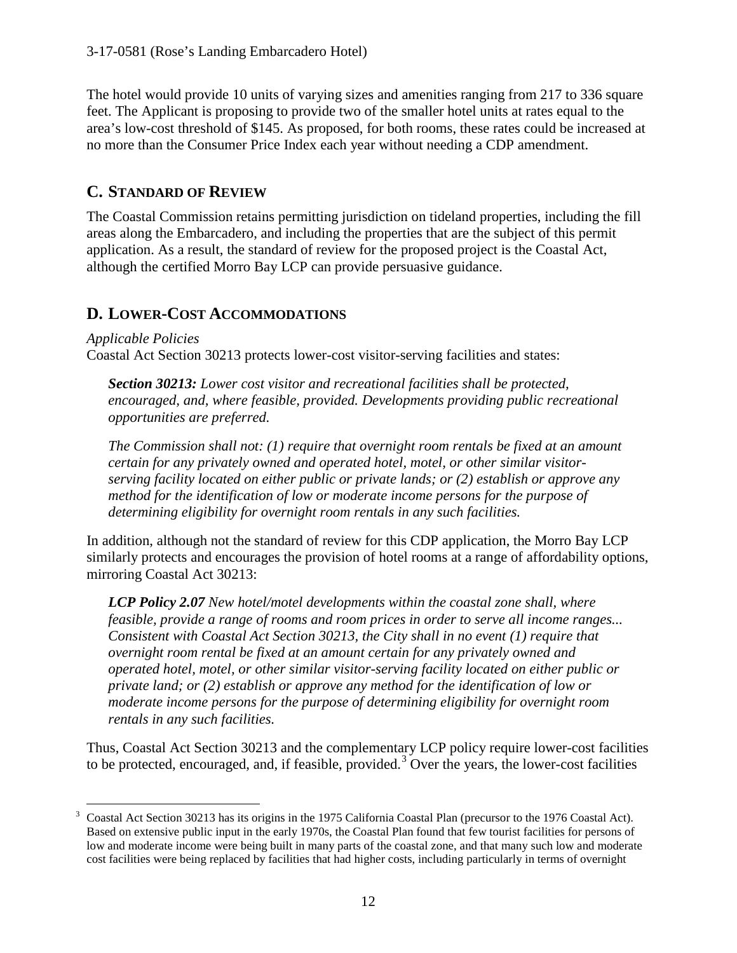The hotel would provide 10 units of varying sizes and amenities ranging from 217 to 336 square feet. The Applicant is proposing to provide two of the smaller hotel units at rates equal to the area's low-cost threshold of \$145. As proposed, for both rooms, these rates could be increased at no more than the Consumer Price Index each year without needing a CDP amendment.

# **C. STANDARD OF REVIEW**

The Coastal Commission retains permitting jurisdiction on tideland properties, including the fill areas along the Embarcadero, and including the properties that are the subject of this permit application. As a result, the standard of review for the proposed project is the Coastal Act, although the certified Morro Bay LCP can provide persuasive guidance.

# **D. LOWER-COST ACCOMMODATIONS**

*Applicable Policies* Coastal Act Section 30213 protects lower-cost visitor-serving facilities and states:

*Section 30213: Lower cost visitor and recreational facilities shall be protected, encouraged, and, where feasible, provided. Developments providing public recreational opportunities are preferred.* 

*The Commission shall not: (1) require that overnight room rentals be fixed at an amount certain for any privately owned and operated hotel, motel, or other similar visitorserving facility located on either public or private lands; or (2) establish or approve any method for the identification of low or moderate income persons for the purpose of determining eligibility for overnight room rentals in any such facilities.*

In addition, although not the standard of review for this CDP application, the Morro Bay LCP similarly protects and encourages the provision of hotel rooms at a range of affordability options, mirroring Coastal Act 30213:

*LCP Policy 2.07 New hotel/motel developments within the coastal zone shall, where feasible, provide a range of rooms and room prices in order to serve all income ranges... Consistent with Coastal Act Section 30213, the City shall in no event (1) require that overnight room rental be fixed at an amount certain for any privately owned and operated hotel, motel, or other similar visitor-serving facility located on either public or private land; or (2) establish or approve any method for the identification of low or moderate income persons for the purpose of determining eligibility for overnight room rentals in any such facilities.*

Thus, Coastal Act Section 30213 and the complementary LCP policy require lower-cost facilities to be protected, encouraged, and, if feasible, provided.<sup>[3](#page-11-0)</sup> Over the years, the lower-cost facilities

<span id="page-11-0"></span><sup>&</sup>lt;sup>3</sup> Coastal Act Section 30213 has its origins in the 1975 California Coastal Plan (precursor to the 1976 Coastal Act). Based on extensive public input in the early 1970s, the Coastal Plan found that few tourist facilities for persons of low and moderate income were being built in many parts of the coastal zone, and that many such low and moderate cost facilities were being replaced by facilities that had higher costs, including particularly in terms of overnight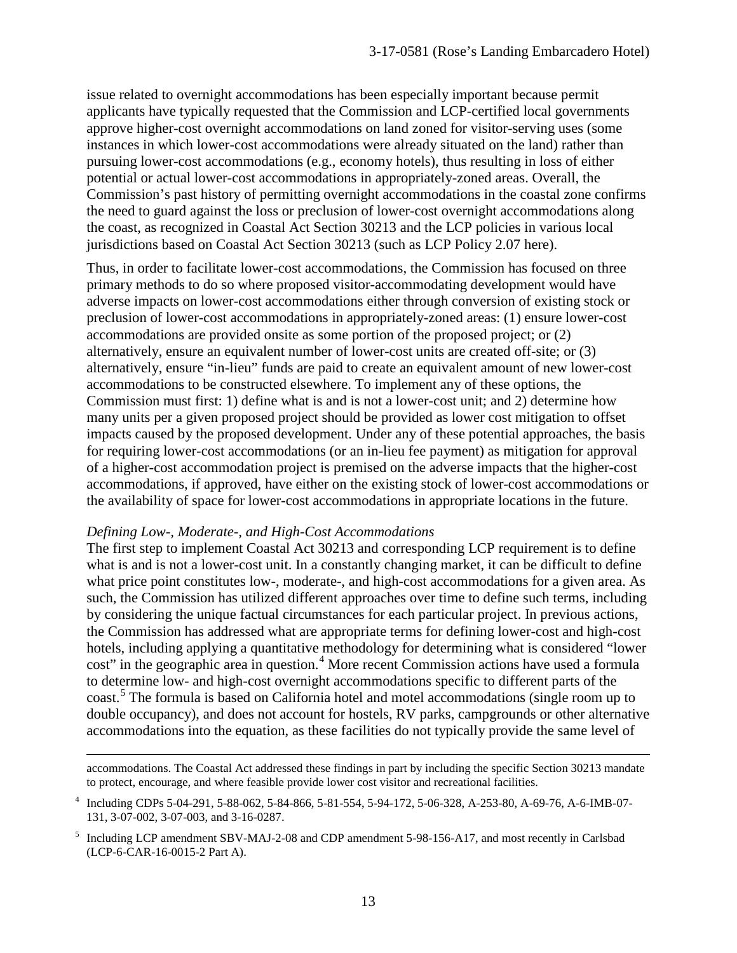issue related to overnight accommodations has been especially important because permit applicants have typically requested that the Commission and LCP-certified local governments approve higher-cost overnight accommodations on land zoned for visitor-serving uses (some instances in which lower-cost accommodations were already situated on the land) rather than pursuing lower-cost accommodations (e.g., economy hotels), thus resulting in loss of either potential or actual lower-cost accommodations in appropriately-zoned areas. Overall, the Commission's past history of permitting overnight accommodations in the coastal zone confirms the need to guard against the loss or preclusion of lower-cost overnight accommodations along the coast, as recognized in Coastal Act Section 30213 and the LCP policies in various local jurisdictions based on Coastal Act Section 30213 (such as LCP Policy 2.07 here).

Thus, in order to facilitate lower-cost accommodations, the Commission has focused on three primary methods to do so where proposed visitor-accommodating development would have adverse impacts on lower-cost accommodations either through conversion of existing stock or preclusion of lower-cost accommodations in appropriately-zoned areas: (1) ensure lower-cost accommodations are provided onsite as some portion of the proposed project; or (2) alternatively, ensure an equivalent number of lower-cost units are created off-site; or (3) alternatively, ensure "in-lieu" funds are paid to create an equivalent amount of new lower-cost accommodations to be constructed elsewhere. To implement any of these options, the Commission must first: 1) define what is and is not a lower-cost unit; and 2) determine how many units per a given proposed project should be provided as lower cost mitigation to offset impacts caused by the proposed development. Under any of these potential approaches, the basis for requiring lower-cost accommodations (or an in-lieu fee payment) as mitigation for approval of a higher-cost accommodation project is premised on the adverse impacts that the higher-cost accommodations, if approved, have either on the existing stock of lower-cost accommodations or the availability of space for lower-cost accommodations in appropriate locations in the future.

#### *Defining Low-, Moderate-, and High-Cost Accommodations*

 $\overline{a}$ 

The first step to implement Coastal Act 30213 and corresponding LCP requirement is to define what is and is not a lower-cost unit. In a constantly changing market, it can be difficult to define what price point constitutes low-, moderate-, and high-cost accommodations for a given area. As such, the Commission has utilized different approaches over time to define such terms, including by considering the unique factual circumstances for each particular project. In previous actions, the Commission has addressed what are appropriate terms for defining lower-cost and high-cost hotels, including applying a quantitative methodology for determining what is considered "lower cost" in the geographic area in question.<sup>[4](#page-12-0)</sup> More recent Commission actions have used a formula to determine low- and high-cost overnight accommodations specific to different parts of the coast.<sup>[5](#page-12-1)</sup> The formula is based on California hotel and motel accommodations (single room up to double occupancy), and does not account for hostels, RV parks, campgrounds or other alternative accommodations into the equation, as these facilities do not typically provide the same level of

accommodations. The Coastal Act addressed these findings in part by including the specific Section 30213 mandate to protect, encourage, and where feasible provide lower cost visitor and recreational facilities.

<span id="page-12-0"></span><sup>4</sup> Including CDPs 5-04-291, 5-88-062, 5-84-866, 5-81-554, 5-94-172, 5-06-328, A-253-80, A-69-76, A-6-IMB-07- 131, 3-07-002, 3-07-003, and 3-16-0287.

<span id="page-12-1"></span><sup>5</sup> Including LCP amendment SBV-MAJ-2-08 and CDP amendment 5-98-156-A17, and most recently in Carlsbad (LCP-6-CAR-16-0015-2 Part A).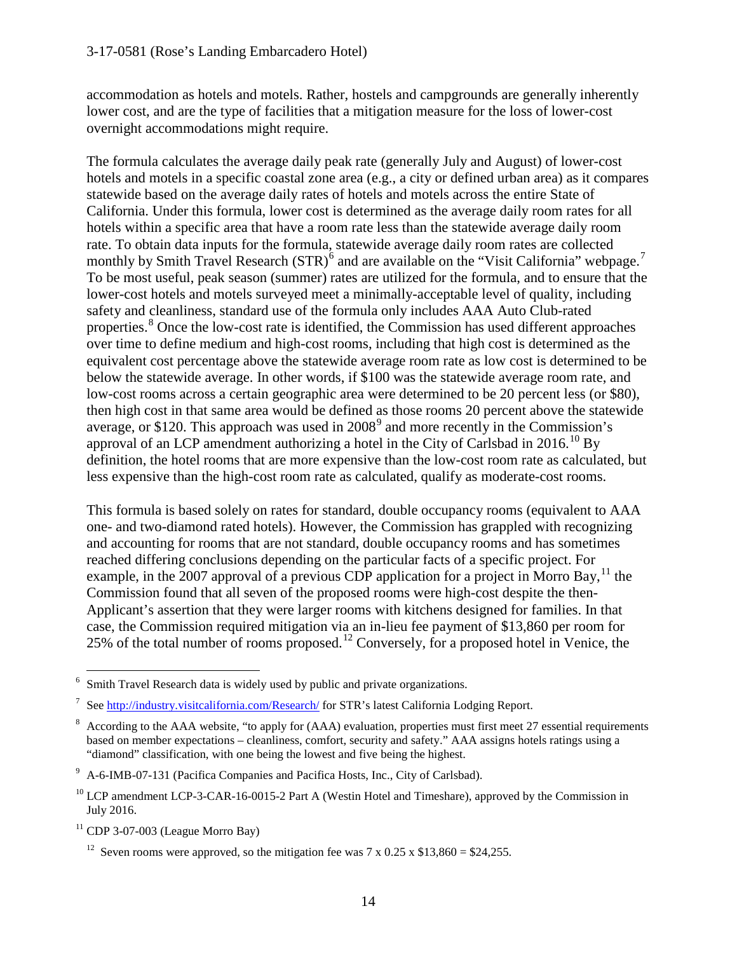accommodation as hotels and motels. Rather, hostels and campgrounds are generally inherently lower cost, and are the type of facilities that a mitigation measure for the loss of lower-cost overnight accommodations might require.

The formula calculates the average daily peak rate (generally July and August) of lower-cost hotels and motels in a specific coastal zone area (e.g., a city or defined urban area) as it compares statewide based on the average daily rates of hotels and motels across the entire State of California. Under this formula, lower cost is determined as the average daily room rates for all hotels within a specific area that have a room rate less than the statewide average daily room rate. To obtain data inputs for the formula, statewide average daily room rates are collected monthly by Smith Travel Research  $(STR)^6$  $(STR)^6$  and are available on the "Visit California" webpage.<sup>[7](#page-13-1)</sup> To be most useful, peak season (summer) rates are utilized for the formula, and to ensure that the lower-cost hotels and motels surveyed meet a minimally-acceptable level of quality, including safety and cleanliness, standard use of the formula only includes AAA Auto Club-rated properties.<sup>[8](#page-13-2)</sup> Once the low-cost rate is identified, the Commission has used different approaches over time to define medium and high-cost rooms, including that high cost is determined as the equivalent cost percentage above the statewide average room rate as low cost is determined to be below the statewide average. In other words, if \$100 was the statewide average room rate, and low-cost rooms across a certain geographic area were determined to be 20 percent less (or \$80), then high cost in that same area would be defined as those rooms 20 percent above the statewide average, or \$120. This approach was used in  $2008<sup>9</sup>$  $2008<sup>9</sup>$  $2008<sup>9</sup>$  and more recently in the Commission's approval of an LCP amendment authorizing a hotel in the City of Carlsbad in 2016.<sup>[10](#page-13-4)</sup> By definition, the hotel rooms that are more expensive than the low-cost room rate as calculated, but less expensive than the high-cost room rate as calculated, qualify as moderate-cost rooms.

This formula is based solely on rates for standard, double occupancy rooms (equivalent to AAA one- and two-diamond rated hotels). However, the Commission has grappled with recognizing and accounting for rooms that are not standard, double occupancy rooms and has sometimes reached differing conclusions depending on the particular facts of a specific project. For example, in the 2007 approval of a previous CDP application for a project in Morro Bay,  $^{11}$  $^{11}$  $^{11}$  the Commission found that all seven of the proposed rooms were high-cost despite the then-Applicant's assertion that they were larger rooms with kitchens designed for families. In that case, the Commission required mitigation via an in-lieu fee payment of \$13,860 per room for 25% of the total number of rooms proposed.[12](#page-13-6) Conversely, for a proposed hotel in Venice, the

<span id="page-13-0"></span> <sup>6</sup> Smith Travel Research data is widely used by public and private organizations.

<span id="page-13-1"></span><sup>7</sup> See<http://industry.visitcalifornia.com/Research/> for STR's latest California Lodging Report.

<span id="page-13-2"></span><sup>8</sup> According to the AAA website, "to apply for (AAA) evaluation, properties must first meet 27 essential requirements based on member expectations – cleanliness, comfort, security and safety." AAA assigns hotels ratings using a "diamond" classification, with one being the lowest and five being the highest.

<span id="page-13-3"></span><sup>&</sup>lt;sup>9</sup> A-6-IMB-07-131 (Pacifica Companies and Pacifica Hosts, Inc., City of Carlsbad).

<span id="page-13-4"></span><sup>&</sup>lt;sup>10</sup> LCP amendment LCP-3-CAR-16-0015-2 Part A (Westin Hotel and Timeshare), approved by the Commission in July 2016.

<span id="page-13-6"></span><span id="page-13-5"></span> $11$  CDP 3-07-003 (League Morro Bay)

<sup>&</sup>lt;sup>12</sup> Seven rooms were approved, so the mitigation fee was  $7 \times 0.25 \times $13,860 = $24,255$ .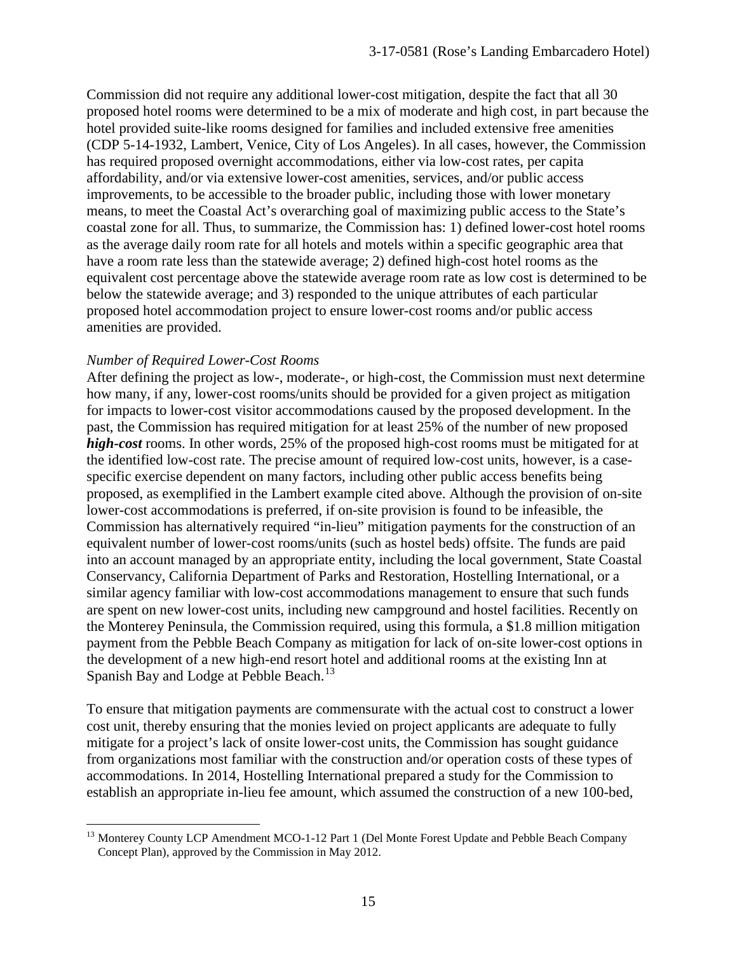Commission did not require any additional lower-cost mitigation, despite the fact that all 30 proposed hotel rooms were determined to be a mix of moderate and high cost, in part because the hotel provided suite-like rooms designed for families and included extensive free amenities (CDP 5-14-1932, Lambert, Venice, City of Los Angeles). In all cases, however, the Commission has required proposed overnight accommodations, either via low-cost rates, per capita affordability, and/or via extensive lower-cost amenities, services, and/or public access improvements, to be accessible to the broader public, including those with lower monetary means, to meet the Coastal Act's overarching goal of maximizing public access to the State's coastal zone for all. Thus, to summarize, the Commission has: 1) defined lower-cost hotel rooms as the average daily room rate for all hotels and motels within a specific geographic area that have a room rate less than the statewide average; 2) defined high-cost hotel rooms as the equivalent cost percentage above the statewide average room rate as low cost is determined to be below the statewide average; and 3) responded to the unique attributes of each particular proposed hotel accommodation project to ensure lower-cost rooms and/or public access amenities are provided.

#### *Number of Required Lower-Cost Rooms*

After defining the project as low-, moderate-, or high-cost, the Commission must next determine how many, if any, lower-cost rooms/units should be provided for a given project as mitigation for impacts to lower-cost visitor accommodations caused by the proposed development. In the past, the Commission has required mitigation for at least 25% of the number of new proposed *high-cost* rooms. In other words, 25% of the proposed high-cost rooms must be mitigated for at the identified low-cost rate. The precise amount of required low-cost units, however, is a casespecific exercise dependent on many factors, including other public access benefits being proposed, as exemplified in the Lambert example cited above. Although the provision of on-site lower-cost accommodations is preferred, if on-site provision is found to be infeasible, the Commission has alternatively required "in-lieu" mitigation payments for the construction of an equivalent number of lower-cost rooms/units (such as hostel beds) offsite. The funds are paid into an account managed by an appropriate entity, including the local government, State Coastal Conservancy, California Department of Parks and Restoration, Hostelling International, or a similar agency familiar with low-cost accommodations management to ensure that such funds are spent on new lower-cost units, including new campground and hostel facilities. Recently on the Monterey Peninsula, the Commission required, using this formula, a \$1.8 million mitigation payment from the Pebble Beach Company as mitigation for lack of on-site lower-cost options in the development of a new high-end resort hotel and additional rooms at the existing Inn at Spanish Bay and Lodge at Pebble Beach.<sup>[13](#page-14-0)</sup>

To ensure that mitigation payments are commensurate with the actual cost to construct a lower cost unit, thereby ensuring that the monies levied on project applicants are adequate to fully mitigate for a project's lack of onsite lower-cost units, the Commission has sought guidance from organizations most familiar with the construction and/or operation costs of these types of accommodations. In 2014, Hostelling International prepared a study for the Commission to establish an appropriate in-lieu fee amount, which assumed the construction of a new 100-bed,

<span id="page-14-0"></span> $\overline{a}$ <sup>13</sup> Monterey County LCP Amendment MCO-1-12 Part 1 (Del Monte Forest Update and Pebble Beach Company Concept Plan), approved by the Commission in May 2012.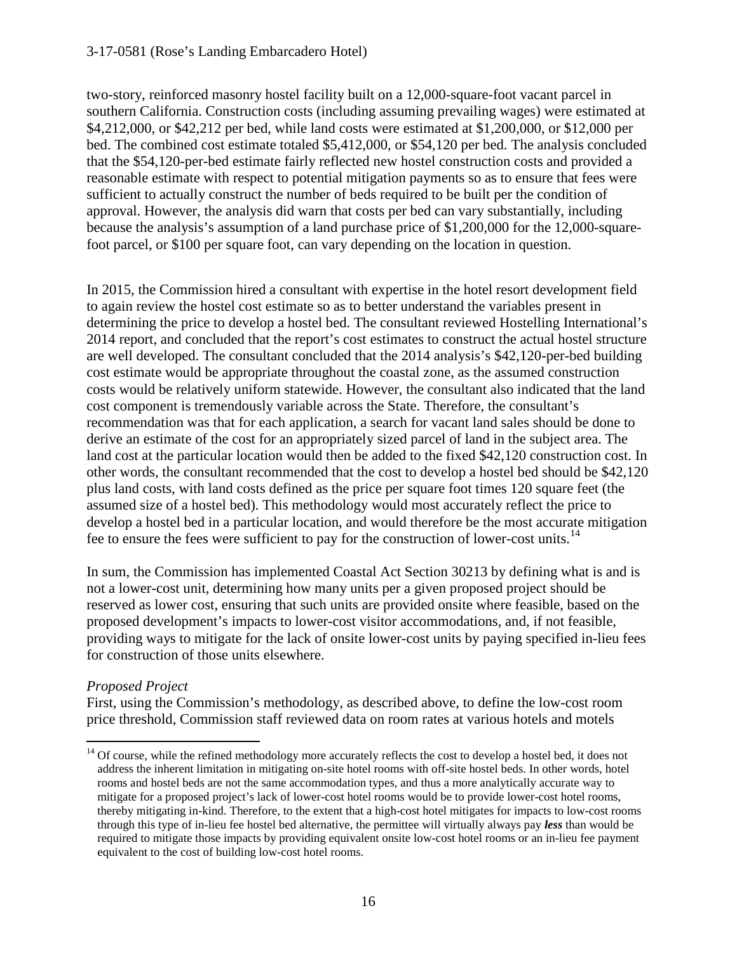#### 3-17-0581 (Rose's Landing Embarcadero Hotel)

two-story, reinforced masonry hostel facility built on a 12,000-square-foot vacant parcel in southern California. Construction costs (including assuming prevailing wages) were estimated at \$4,212,000, or \$42,212 per bed, while land costs were estimated at \$1,200,000, or \$12,000 per bed. The combined cost estimate totaled \$5,412,000, or \$54,120 per bed. The analysis concluded that the \$54,120-per-bed estimate fairly reflected new hostel construction costs and provided a reasonable estimate with respect to potential mitigation payments so as to ensure that fees were sufficient to actually construct the number of beds required to be built per the condition of approval. However, the analysis did warn that costs per bed can vary substantially, including because the analysis's assumption of a land purchase price of \$1,200,000 for the 12,000-squarefoot parcel, or \$100 per square foot, can vary depending on the location in question.

In 2015, the Commission hired a consultant with expertise in the hotel resort development field to again review the hostel cost estimate so as to better understand the variables present in determining the price to develop a hostel bed. The consultant reviewed Hostelling International's 2014 report, and concluded that the report's cost estimates to construct the actual hostel structure are well developed. The consultant concluded that the 2014 analysis's \$42,120-per-bed building cost estimate would be appropriate throughout the coastal zone, as the assumed construction costs would be relatively uniform statewide. However, the consultant also indicated that the land cost component is tremendously variable across the State. Therefore, the consultant's recommendation was that for each application, a search for vacant land sales should be done to derive an estimate of the cost for an appropriately sized parcel of land in the subject area. The land cost at the particular location would then be added to the fixed \$42,120 construction cost. In other words, the consultant recommended that the cost to develop a hostel bed should be \$42,120 plus land costs, with land costs defined as the price per square foot times 120 square feet (the assumed size of a hostel bed). This methodology would most accurately reflect the price to develop a hostel bed in a particular location, and would therefore be the most accurate mitigation fee to ensure the fees were sufficient to pay for the construction of lower-cost units.<sup>[14](#page-15-0)</sup>

In sum, the Commission has implemented Coastal Act Section 30213 by defining what is and is not a lower-cost unit, determining how many units per a given proposed project should be reserved as lower cost, ensuring that such units are provided onsite where feasible, based on the proposed development's impacts to lower-cost visitor accommodations, and, if not feasible, providing ways to mitigate for the lack of onsite lower-cost units by paying specified in-lieu fees for construction of those units elsewhere.

#### *Proposed Project*

 $\overline{a}$ 

First, using the Commission's methodology, as described above, to define the low-cost room price threshold, Commission staff reviewed data on room rates at various hotels and motels

<span id="page-15-0"></span> $14$  Of course, while the refined methodology more accurately reflects the cost to develop a hostel bed, it does not address the inherent limitation in mitigating on-site hotel rooms with off-site hostel beds. In other words, hotel rooms and hostel beds are not the same accommodation types, and thus a more analytically accurate way to mitigate for a proposed project's lack of lower-cost hotel rooms would be to provide lower-cost hotel rooms, thereby mitigating in-kind. Therefore, to the extent that a high-cost hotel mitigates for impacts to low-cost rooms through this type of in-lieu fee hostel bed alternative, the permittee will virtually always pay *less* than would be required to mitigate those impacts by providing equivalent onsite low-cost hotel rooms or an in-lieu fee payment equivalent to the cost of building low-cost hotel rooms.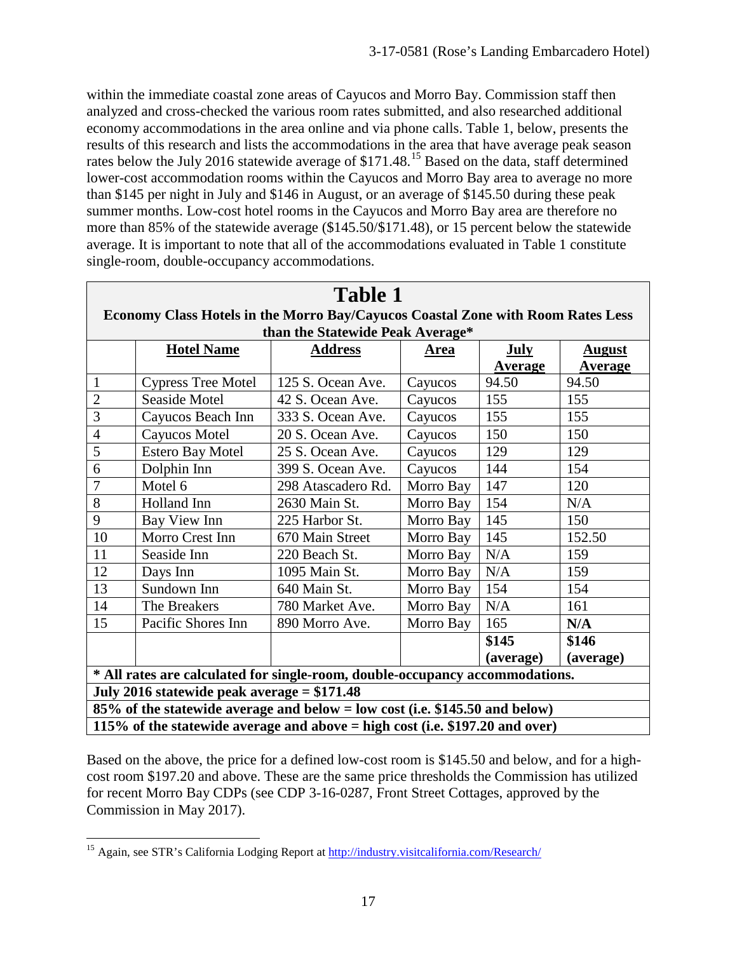within the immediate coastal zone areas of Cayucos and Morro Bay. Commission staff then analyzed and cross-checked the various room rates submitted, and also researched additional economy accommodations in the area online and via phone calls. Table 1, below, presents the results of this research and lists the accommodations in the area that have average peak season rates below the July 2016 statewide average of  $$171.48<sup>15</sup>$  Based on the data, staff determined lower-cost accommodation rooms within the Cayucos and Morro Bay area to average no more than \$145 per night in July and \$146 in August, or an average of \$145.50 during these peak summer months. Low-cost hotel rooms in the Cayucos and Morro Bay area are therefore no more than 85% of the statewide average (\$145.50/\$171.48), or 15 percent below the statewide average. It is important to note that all of the accommodations evaluated in Table 1 constitute single-room, double-occupancy accommodations.

| <b>Table 1</b>                                                                  |                           |                    |             |                |                |  |  |
|---------------------------------------------------------------------------------|---------------------------|--------------------|-------------|----------------|----------------|--|--|
| Economy Class Hotels in the Morro Bay/Cayucos Coastal Zone with Room Rates Less |                           |                    |             |                |                |  |  |
| than the Statewide Peak Average*                                                |                           |                    |             |                |                |  |  |
|                                                                                 | <b>Hotel Name</b>         | <u>Address</u>     | <b>Area</b> | <b>July</b>    | <b>August</b>  |  |  |
|                                                                                 |                           |                    |             | <b>Average</b> | <b>Average</b> |  |  |
| $\mathbf{1}$                                                                    | <b>Cypress Tree Motel</b> | 125 S. Ocean Ave.  | Cayucos     | 94.50          | 94.50          |  |  |
| $\overline{2}$                                                                  | Seaside Motel             | 42 S. Ocean Ave.   | Cayucos     | 155            | 155            |  |  |
| $\overline{3}$                                                                  | Cayucos Beach Inn         | 333 S. Ocean Ave.  | Cayucos     | 155            | 155            |  |  |
| $\overline{4}$                                                                  | Cayucos Motel             | 20 S. Ocean Ave.   | Cayucos     | 150            | 150            |  |  |
| $\overline{5}$                                                                  | <b>Estero Bay Motel</b>   | 25 S. Ocean Ave.   | Cayucos     | 129            | 129            |  |  |
| 6                                                                               | Dolphin Inn               | 399 S. Ocean Ave.  | Cayucos     | 144            | 154            |  |  |
| $\tau$                                                                          | Motel 6                   | 298 Atascadero Rd. | Morro Bay   | 147            | 120            |  |  |
| 8                                                                               | Holland Inn               | 2630 Main St.      | Morro Bay   | 154            | N/A            |  |  |
| 9                                                                               | Bay View Inn              | 225 Harbor St.     | Morro Bay   | 145            | 150            |  |  |
| 10                                                                              | Morro Crest Inn           | 670 Main Street    | Morro Bay   | 145            | 152.50         |  |  |
| 11                                                                              | Seaside Inn               | 220 Beach St.      | Morro Bay   | N/A            | 159            |  |  |
| 12                                                                              | Days Inn                  | 1095 Main St.      | Morro Bay   | N/A            | 159            |  |  |
| 13                                                                              | Sundown Inn               | 640 Main St.       | Morro Bay   | 154            | 154            |  |  |
| 14                                                                              | The Breakers              | 780 Market Ave.    | Morro Bay   | N/A            | 161            |  |  |
| 15                                                                              | Pacific Shores Inn        | 890 Morro Ave.     | Morro Bay   | 165            | N/A            |  |  |
|                                                                                 |                           |                    |             | \$145          | \$146          |  |  |
|                                                                                 |                           |                    |             | (average)      | (average)      |  |  |
| * All rates are calculated for single-room, double-occupancy accommodations.    |                           |                    |             |                |                |  |  |
| July 2016 statewide peak average = \$171.48                                     |                           |                    |             |                |                |  |  |
| 85% of the statewide average and below = low cost (i.e. \$145.50 and below)     |                           |                    |             |                |                |  |  |
| 115% of the statewide average and above $=$ high cost (i.e. \$197.20 and over)  |                           |                    |             |                |                |  |  |

Based on the above, the price for a defined low-cost room is \$145.50 and below, and for a highcost room \$197.20 and above. These are the same price thresholds the Commission has utilized for recent Morro Bay CDPs (see CDP 3-16-0287, Front Street Cottages, approved by the Commission in May 2017).

<span id="page-16-0"></span> $\overline{a}$ <sup>15</sup> Again, see STR's California Lodging Report at http://industry.visitcalifornia.com/Research/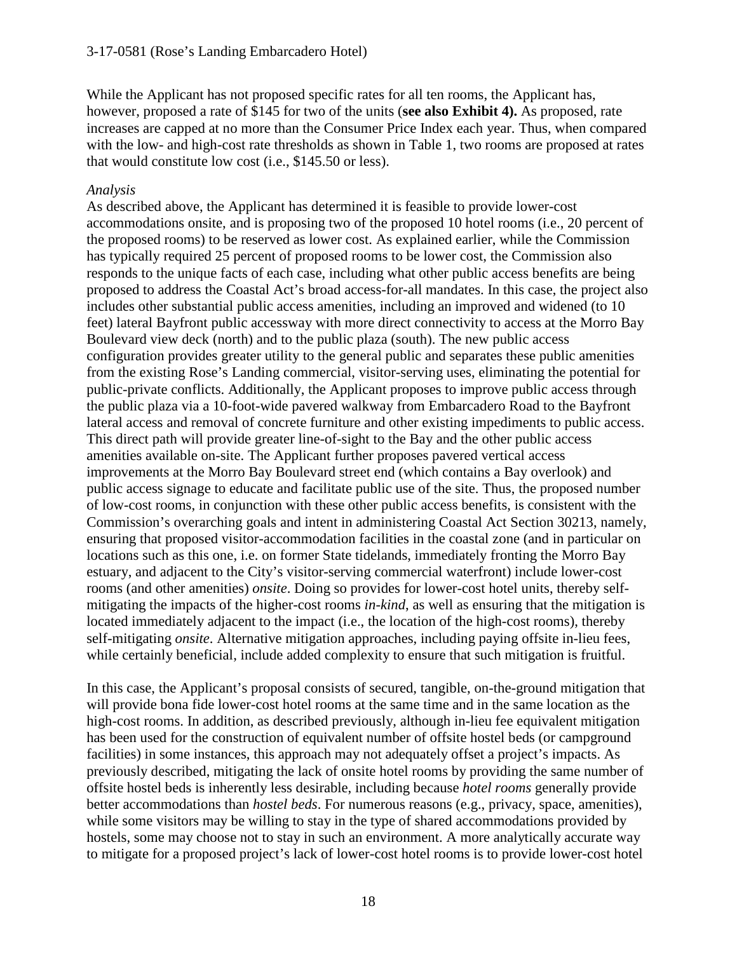While the Applicant has not proposed specific rates for all ten rooms, the Applicant has, however, proposed a rate of \$145 for two of the units (**see also Exhibit 4).** As proposed, rate increases are capped at no more than the Consumer Price Index each year. Thus, when compared with the low- and high-cost rate thresholds as shown in Table 1, two rooms are proposed at rates that would constitute low cost (i.e., \$145.50 or less).

#### *Analysis*

As described above, the Applicant has determined it is feasible to provide lower-cost accommodations onsite, and is proposing two of the proposed 10 hotel rooms (i.e., 20 percent of the proposed rooms) to be reserved as lower cost. As explained earlier, while the Commission has typically required 25 percent of proposed rooms to be lower cost, the Commission also responds to the unique facts of each case, including what other public access benefits are being proposed to address the Coastal Act's broad access-for-all mandates. In this case, the project also includes other substantial public access amenities, including an improved and widened (to 10 feet) lateral Bayfront public accessway with more direct connectivity to access at the Morro Bay Boulevard view deck (north) and to the public plaza (south). The new public access configuration provides greater utility to the general public and separates these public amenities from the existing Rose's Landing commercial, visitor-serving uses, eliminating the potential for public-private conflicts. Additionally, the Applicant proposes to improve public access through the public plaza via a 10-foot-wide pavered walkway from Embarcadero Road to the Bayfront lateral access and removal of concrete furniture and other existing impediments to public access. This direct path will provide greater line-of-sight to the Bay and the other public access amenities available on-site. The Applicant further proposes pavered vertical access improvements at the Morro Bay Boulevard street end (which contains a Bay overlook) and public access signage to educate and facilitate public use of the site. Thus, the proposed number of low-cost rooms, in conjunction with these other public access benefits, is consistent with the Commission's overarching goals and intent in administering Coastal Act Section 30213, namely, ensuring that proposed visitor-accommodation facilities in the coastal zone (and in particular on locations such as this one, i.e. on former State tidelands, immediately fronting the Morro Bay estuary, and adjacent to the City's visitor-serving commercial waterfront) include lower-cost rooms (and other amenities) *onsite*. Doing so provides for lower-cost hotel units, thereby selfmitigating the impacts of the higher-cost rooms *in-kind*, as well as ensuring that the mitigation is located immediately adjacent to the impact (i.e., the location of the high-cost rooms), thereby self-mitigating *onsite*. Alternative mitigation approaches, including paying offsite in-lieu fees, while certainly beneficial, include added complexity to ensure that such mitigation is fruitful.

In this case, the Applicant's proposal consists of secured, tangible, on-the-ground mitigation that will provide bona fide lower-cost hotel rooms at the same time and in the same location as the high-cost rooms. In addition, as described previously, although in-lieu fee equivalent mitigation has been used for the construction of equivalent number of offsite hostel beds (or campground facilities) in some instances, this approach may not adequately offset a project's impacts. As previously described, mitigating the lack of onsite hotel rooms by providing the same number of offsite hostel beds is inherently less desirable, including because *hotel rooms* generally provide better accommodations than *hostel beds*. For numerous reasons (e.g., privacy, space, amenities), while some visitors may be willing to stay in the type of shared accommodations provided by hostels, some may choose not to stay in such an environment. A more analytically accurate way to mitigate for a proposed project's lack of lower-cost hotel rooms is to provide lower-cost hotel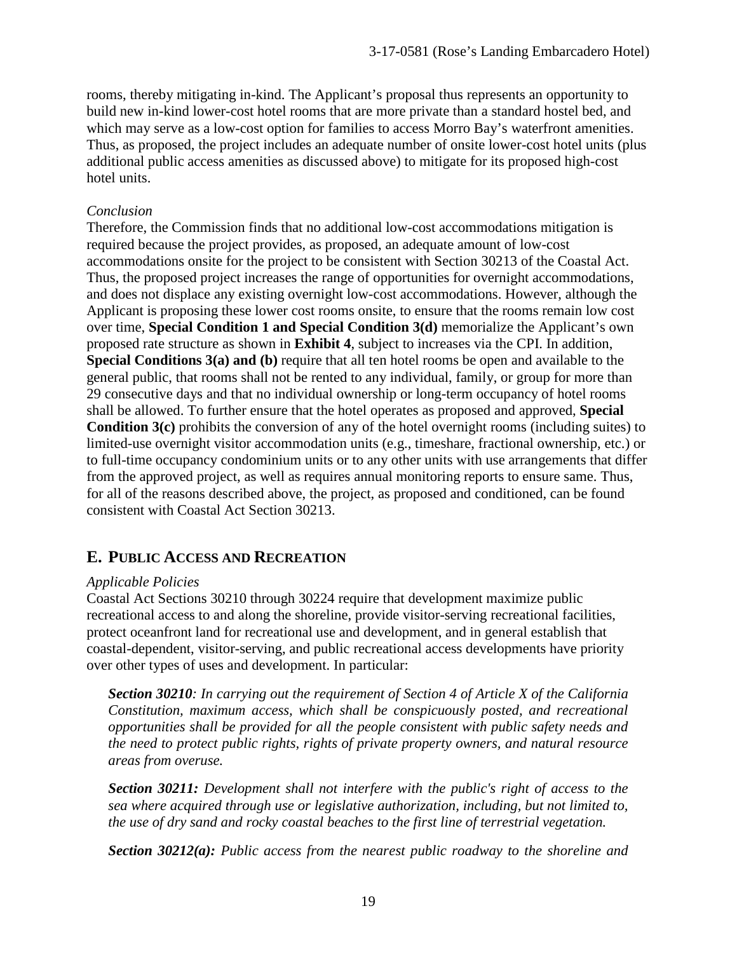rooms, thereby mitigating in-kind. The Applicant's proposal thus represents an opportunity to build new in-kind lower-cost hotel rooms that are more private than a standard hostel bed, and which may serve as a low-cost option for families to access Morro Bay's waterfront amenities. Thus, as proposed, the project includes an adequate number of onsite lower-cost hotel units (plus additional public access amenities as discussed above) to mitigate for its proposed high-cost hotel units.

#### *Conclusion*

Therefore, the Commission finds that no additional low-cost accommodations mitigation is required because the project provides, as proposed, an adequate amount of low-cost accommodations onsite for the project to be consistent with Section 30213 of the Coastal Act. Thus, the proposed project increases the range of opportunities for overnight accommodations, and does not displace any existing overnight low-cost accommodations. However, although the Applicant is proposing these lower cost rooms onsite, to ensure that the rooms remain low cost over time, **Special Condition 1 and Special Condition 3(d)** memorialize the Applicant's own proposed rate structure as shown in **Exhibit 4**, subject to increases via the CPI. In addition, **Special Conditions 3(a) and (b)** require that all ten hotel rooms be open and available to the general public, that rooms shall not be rented to any individual, family, or group for more than 29 consecutive days and that no individual ownership or long-term occupancy of hotel rooms shall be allowed. To further ensure that the hotel operates as proposed and approved, **Special Condition 3(c)** prohibits the conversion of any of the hotel overnight rooms (including suites) to limited-use overnight visitor accommodation units (e.g., timeshare, fractional ownership, etc.) or to full-time occupancy condominium units or to any other units with use arrangements that differ from the approved project, as well as requires annual monitoring reports to ensure same. Thus, for all of the reasons described above, the project, as proposed and conditioned, can be found consistent with Coastal Act Section 30213.

### **E. PUBLIC ACCESS AND RECREATION**

#### *Applicable Policies*

Coastal Act Sections 30210 through 30224 require that development maximize public recreational access to and along the shoreline, provide visitor-serving recreational facilities, protect oceanfront land for recreational use and development, and in general establish that coastal-dependent, visitor-serving, and public recreational access developments have priority over other types of uses and development. In particular:

*Section 30210: In carrying out the requirement of Section 4 of Article X of the California Constitution, maximum access, which shall be conspicuously posted, and recreational opportunities shall be provided for all the people consistent with public safety needs and the need to protect public rights, rights of private property owners, and natural resource areas from overuse.* 

*Section 30211: Development shall not interfere with the public's right of access to the sea where acquired through use or legislative authorization, including, but not limited to, the use of dry sand and rocky coastal beaches to the first line of terrestrial vegetation.* 

*Section 30212(a): Public access from the nearest public roadway to the shoreline and*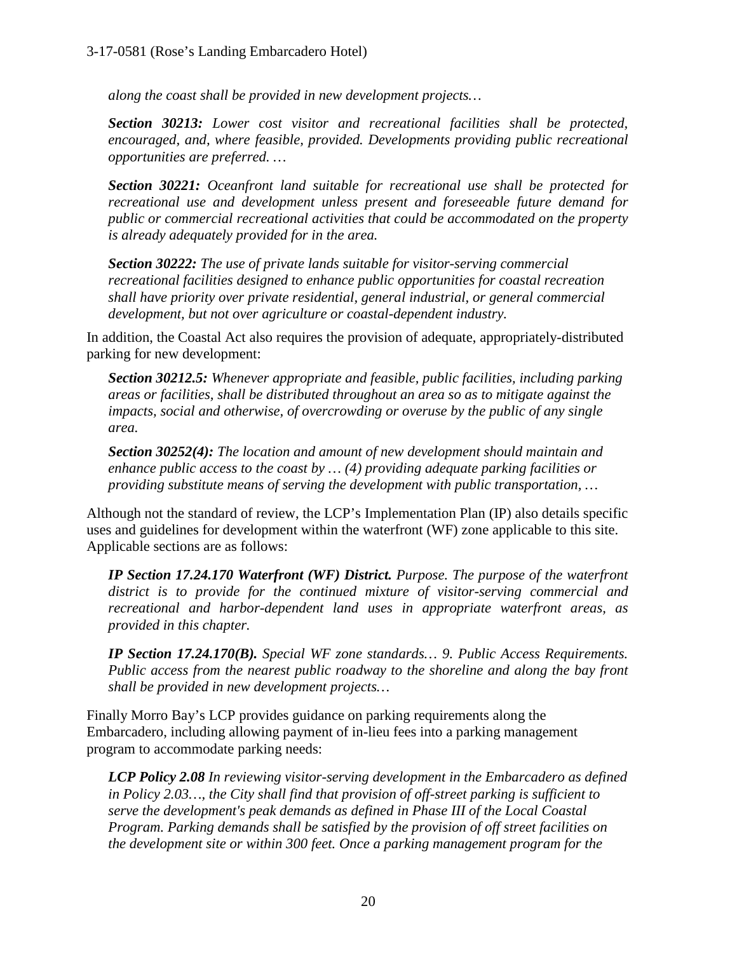*along the coast shall be provided in new development projects…*

*Section 30213: Lower cost visitor and recreational facilities shall be protected, encouraged, and, where feasible, provided. Developments providing public recreational opportunities are preferred. …* 

*Section 30221: Oceanfront land suitable for recreational use shall be protected for recreational use and development unless present and foreseeable future demand for public or commercial recreational activities that could be accommodated on the property is already adequately provided for in the area.*

*Section 30222: The use of private lands suitable for visitor-serving commercial recreational facilities designed to enhance public opportunities for coastal recreation shall have priority over private residential, general industrial, or general commercial development, but not over agriculture or coastal-dependent industry.* 

In addition, the Coastal Act also requires the provision of adequate, appropriately-distributed parking for new development:

*Section 30212.5: Whenever appropriate and feasible, public facilities, including parking areas or facilities, shall be distributed throughout an area so as to mitigate against the impacts, social and otherwise, of overcrowding or overuse by the public of any single area.* 

*Section 30252(4): The location and amount of new development should maintain and enhance public access to the coast by … (4) providing adequate parking facilities or providing substitute means of serving the development with public transportation, …* 

Although not the standard of review, the LCP's Implementation Plan (IP) also details specific uses and guidelines for development within the waterfront (WF) zone applicable to this site. Applicable sections are as follows:

*IP Section 17.24.170 Waterfront (WF) District. Purpose. The purpose of the waterfront district is to provide for the continued mixture of visitor-serving commercial and recreational and harbor-dependent land uses in appropriate waterfront areas, as provided in this chapter.* 

*IP Section 17.24.170(B). Special WF zone standards… 9. Public Access Requirements. Public access from the nearest public roadway to the shoreline and along the bay front shall be provided in new development projects…*

Finally Morro Bay's LCP provides guidance on parking requirements along the Embarcadero, including allowing payment of in-lieu fees into a parking management program to accommodate parking needs:

*LCP Policy 2.08 In reviewing visitor-serving development in the Embarcadero as defined in Policy 2.03…, the City shall find that provision of off-street parking is sufficient to serve the development's peak demands as defined in Phase III of the Local Coastal Program. Parking demands shall be satisfied by the provision of off street facilities on the development site or within 300 feet. Once a parking management program for the*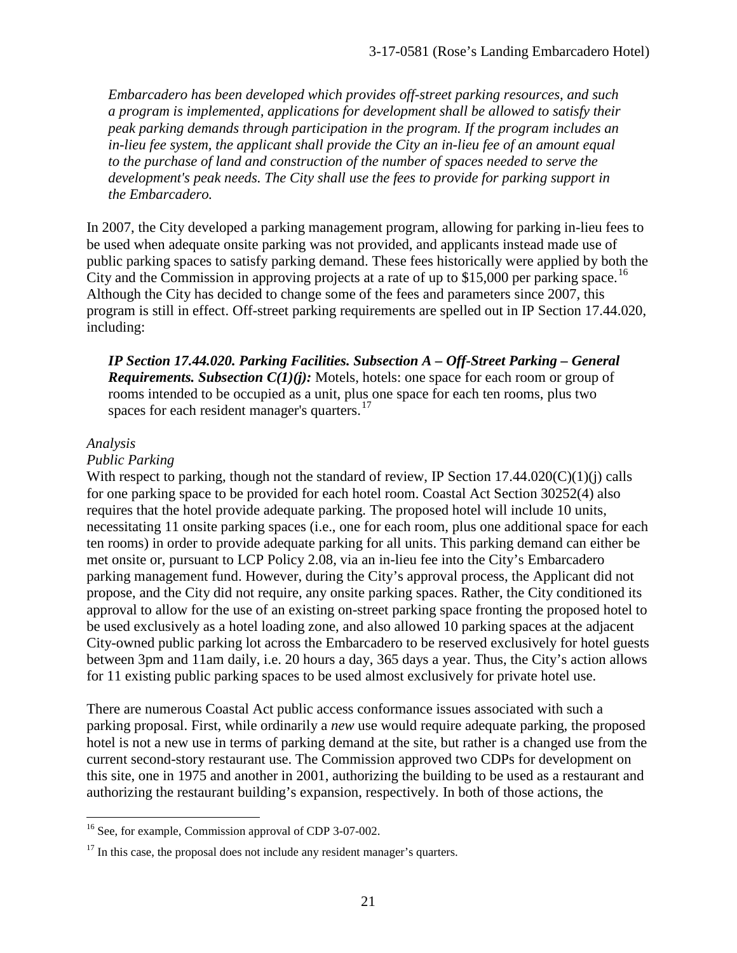*Embarcadero has been developed which provides off-street parking resources, and such a program is implemented, applications for development shall be allowed to satisfy their peak parking demands through participation in the program. If the program includes an in-lieu fee system, the applicant shall provide the City an in-lieu fee of an amount equal to the purchase of land and construction of the number of spaces needed to serve the development's peak needs. The City shall use the fees to provide for parking support in the Embarcadero.* 

In 2007, the City developed a parking management program, allowing for parking in-lieu fees to be used when adequate onsite parking was not provided, and applicants instead made use of public parking spaces to satisfy parking demand. These fees historically were applied by both the City and the Commission in approving projects at a rate of up to \$15,000 per parking space.<sup>[16](#page-20-0)</sup> Although the City has decided to change some of the fees and parameters since 2007, this program is still in effect. Off-street parking requirements are spelled out in IP Section 17.44.020, including:

*IP Section 17.44.020. Parking Facilities. Subsection A – Off-Street Parking – General Requirements. Subsection C(1)(j):* Motels, hotels: one space for each room or group of rooms intended to be occupied as a unit, plus one space for each ten rooms, plus two spaces for each resident manager's quarters.<sup>[17](#page-20-1)</sup>

#### *Analysis*

#### *Public Parking*

With respect to parking, though not the standard of review, IP Section 17.44.020(C)(1)(j) calls for one parking space to be provided for each hotel room. Coastal Act Section 30252(4) also requires that the hotel provide adequate parking. The proposed hotel will include 10 units, necessitating 11 onsite parking spaces (i.e., one for each room, plus one additional space for each ten rooms) in order to provide adequate parking for all units. This parking demand can either be met onsite or, pursuant to LCP Policy 2.08, via an in-lieu fee into the City's Embarcadero parking management fund. However, during the City's approval process, the Applicant did not propose, and the City did not require, any onsite parking spaces. Rather, the City conditioned its approval to allow for the use of an existing on-street parking space fronting the proposed hotel to be used exclusively as a hotel loading zone, and also allowed 10 parking spaces at the adjacent City-owned public parking lot across the Embarcadero to be reserved exclusively for hotel guests between 3pm and 11am daily, i.e. 20 hours a day, 365 days a year. Thus, the City's action allows for 11 existing public parking spaces to be used almost exclusively for private hotel use.

There are numerous Coastal Act public access conformance issues associated with such a parking proposal. First, while ordinarily a *new* use would require adequate parking, the proposed hotel is not a new use in terms of parking demand at the site, but rather is a changed use from the current second-story restaurant use. The Commission approved two CDPs for development on this site, one in 1975 and another in 2001, authorizing the building to be used as a restaurant and authorizing the restaurant building's expansion, respectively. In both of those actions, the

<span id="page-20-0"></span> $\overline{a}$ <sup>16</sup> See, for example, Commission approval of CDP 3-07-002.

<span id="page-20-1"></span> $17$  In this case, the proposal does not include any resident manager's quarters.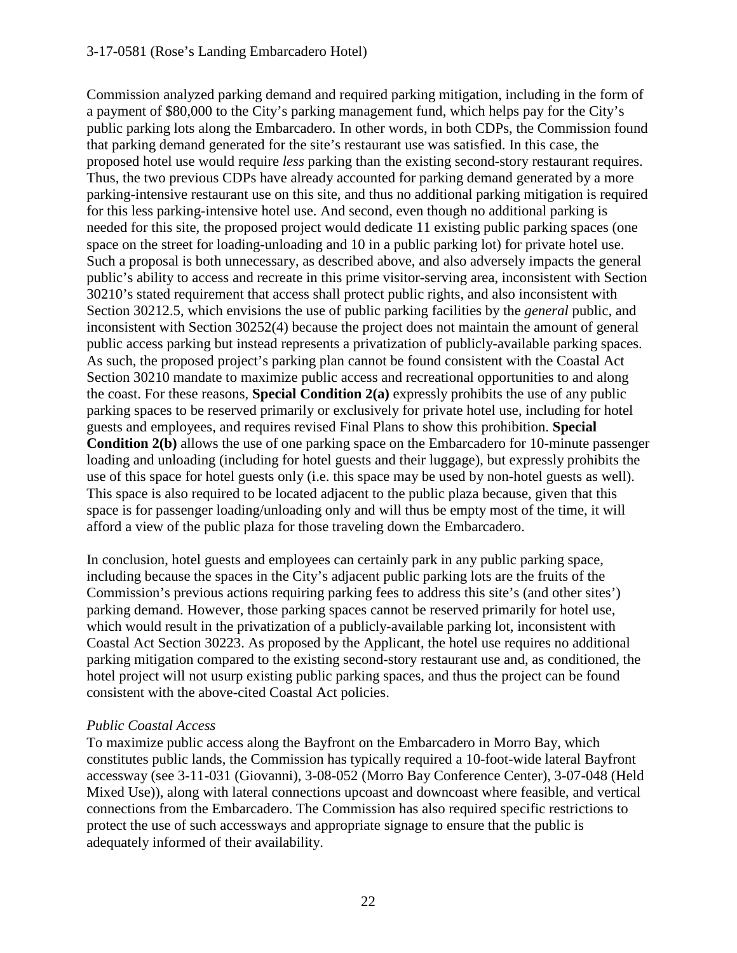#### 3-17-0581 (Rose's Landing Embarcadero Hotel)

Commission analyzed parking demand and required parking mitigation, including in the form of a payment of \$80,000 to the City's parking management fund, which helps pay for the City's public parking lots along the Embarcadero. In other words, in both CDPs, the Commission found that parking demand generated for the site's restaurant use was satisfied. In this case, the proposed hotel use would require *less* parking than the existing second-story restaurant requires. Thus, the two previous CDPs have already accounted for parking demand generated by a more parking-intensive restaurant use on this site, and thus no additional parking mitigation is required for this less parking-intensive hotel use. And second, even though no additional parking is needed for this site, the proposed project would dedicate 11 existing public parking spaces (one space on the street for loading-unloading and 10 in a public parking lot) for private hotel use. Such a proposal is both unnecessary, as described above, and also adversely impacts the general public's ability to access and recreate in this prime visitor-serving area, inconsistent with Section 30210's stated requirement that access shall protect public rights, and also inconsistent with Section 30212.5, which envisions the use of public parking facilities by the *general* public, and inconsistent with Section 30252(4) because the project does not maintain the amount of general public access parking but instead represents a privatization of publicly-available parking spaces. As such, the proposed project's parking plan cannot be found consistent with the Coastal Act Section 30210 mandate to maximize public access and recreational opportunities to and along the coast. For these reasons, **Special Condition 2(a)** expressly prohibits the use of any public parking spaces to be reserved primarily or exclusively for private hotel use, including for hotel guests and employees, and requires revised Final Plans to show this prohibition. **Special Condition 2(b)** allows the use of one parking space on the Embarcadero for 10-minute passenger loading and unloading (including for hotel guests and their luggage), but expressly prohibits the use of this space for hotel guests only (i.e. this space may be used by non-hotel guests as well). This space is also required to be located adjacent to the public plaza because, given that this space is for passenger loading/unloading only and will thus be empty most of the time, it will afford a view of the public plaza for those traveling down the Embarcadero.

In conclusion, hotel guests and employees can certainly park in any public parking space, including because the spaces in the City's adjacent public parking lots are the fruits of the Commission's previous actions requiring parking fees to address this site's (and other sites') parking demand. However, those parking spaces cannot be reserved primarily for hotel use, which would result in the privatization of a publicly-available parking lot, inconsistent with Coastal Act Section 30223. As proposed by the Applicant, the hotel use requires no additional parking mitigation compared to the existing second-story restaurant use and, as conditioned, the hotel project will not usurp existing public parking spaces, and thus the project can be found consistent with the above-cited Coastal Act policies.

#### *Public Coastal Access*

To maximize public access along the Bayfront on the Embarcadero in Morro Bay, which constitutes public lands, the Commission has typically required a 10-foot-wide lateral Bayfront accessway (see 3-11-031 (Giovanni), 3-08-052 (Morro Bay Conference Center), 3-07-048 (Held Mixed Use)), along with lateral connections upcoast and downcoast where feasible, and vertical connections from the Embarcadero. The Commission has also required specific restrictions to protect the use of such accessways and appropriate signage to ensure that the public is adequately informed of their availability.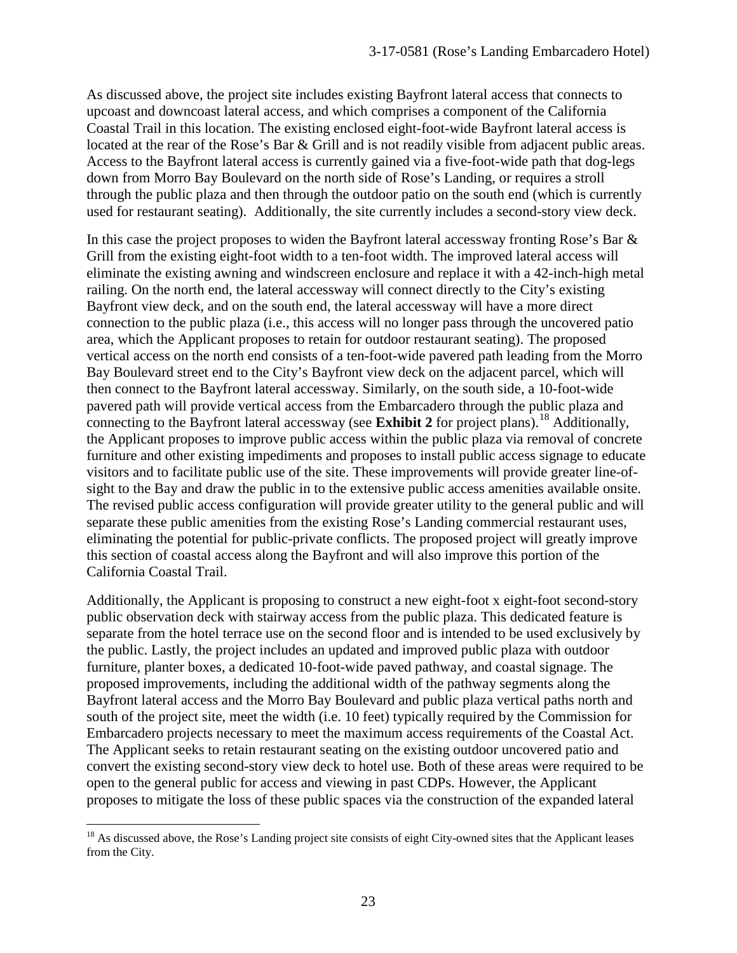As discussed above, the project site includes existing Bayfront lateral access that connects to upcoast and downcoast lateral access, and which comprises a component of the California Coastal Trail in this location. The existing enclosed eight-foot-wide Bayfront lateral access is located at the rear of the Rose's Bar & Grill and is not readily visible from adjacent public areas. Access to the Bayfront lateral access is currently gained via a five-foot-wide path that dog-legs down from Morro Bay Boulevard on the north side of Rose's Landing, or requires a stroll through the public plaza and then through the outdoor patio on the south end (which is currently used for restaurant seating). Additionally, the site currently includes a second-story view deck.

In this case the project proposes to widen the Bayfront lateral accessway fronting Rose's Bar & Grill from the existing eight-foot width to a ten-foot width. The improved lateral access will eliminate the existing awning and windscreen enclosure and replace it with a 42-inch-high metal railing. On the north end, the lateral accessway will connect directly to the City's existing Bayfront view deck, and on the south end, the lateral accessway will have a more direct connection to the public plaza (i.e., this access will no longer pass through the uncovered patio area, which the Applicant proposes to retain for outdoor restaurant seating). The proposed vertical access on the north end consists of a ten-foot-wide pavered path leading from the Morro Bay Boulevard street end to the City's Bayfront view deck on the adjacent parcel, which will then connect to the Bayfront lateral accessway. Similarly, on the south side, a 10-foot-wide pavered path will provide vertical access from the Embarcadero through the public plaza and connecting to the Bayfront lateral accessway (see **Exhibit 2** for project plans).<sup>[18](#page-22-0)</sup> Additionally, the Applicant proposes to improve public access within the public plaza via removal of concrete furniture and other existing impediments and proposes to install public access signage to educate visitors and to facilitate public use of the site. These improvements will provide greater line-ofsight to the Bay and draw the public in to the extensive public access amenities available onsite. The revised public access configuration will provide greater utility to the general public and will separate these public amenities from the existing Rose's Landing commercial restaurant uses, eliminating the potential for public-private conflicts. The proposed project will greatly improve this section of coastal access along the Bayfront and will also improve this portion of the California Coastal Trail.

Additionally, the Applicant is proposing to construct a new eight-foot x eight-foot second-story public observation deck with stairway access from the public plaza. This dedicated feature is separate from the hotel terrace use on the second floor and is intended to be used exclusively by the public. Lastly, the project includes an updated and improved public plaza with outdoor furniture, planter boxes, a dedicated 10-foot-wide paved pathway, and coastal signage. The proposed improvements, including the additional width of the pathway segments along the Bayfront lateral access and the Morro Bay Boulevard and public plaza vertical paths north and south of the project site, meet the width (i.e. 10 feet) typically required by the Commission for Embarcadero projects necessary to meet the maximum access requirements of the Coastal Act. The Applicant seeks to retain restaurant seating on the existing outdoor uncovered patio and convert the existing second-story view deck to hotel use. Both of these areas were required to be open to the general public for access and viewing in past CDPs. However, the Applicant proposes to mitigate the loss of these public spaces via the construction of the expanded lateral

 $\overline{a}$ 

<span id="page-22-0"></span> $18$  As discussed above, the Rose's Landing project site consists of eight City-owned sites that the Applicant leases from the City.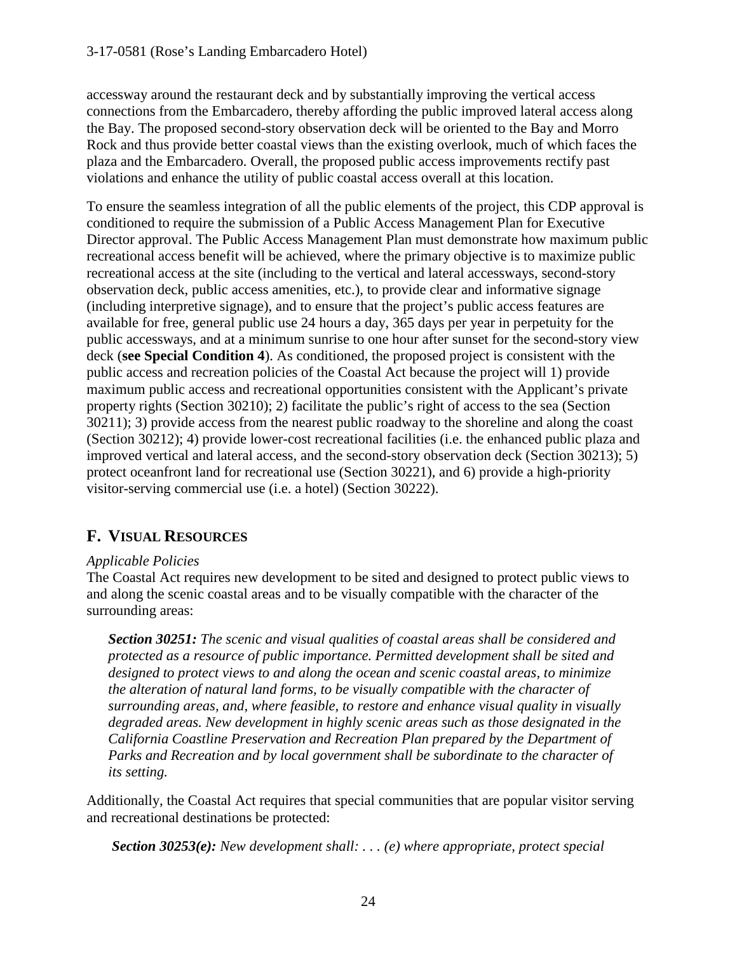accessway around the restaurant deck and by substantially improving the vertical access connections from the Embarcadero, thereby affording the public improved lateral access along the Bay. The proposed second-story observation deck will be oriented to the Bay and Morro Rock and thus provide better coastal views than the existing overlook, much of which faces the plaza and the Embarcadero. Overall, the proposed public access improvements rectify past violations and enhance the utility of public coastal access overall at this location.

To ensure the seamless integration of all the public elements of the project, this CDP approval is conditioned to require the submission of a Public Access Management Plan for Executive Director approval. The Public Access Management Plan must demonstrate how maximum public recreational access benefit will be achieved, where the primary objective is to maximize public recreational access at the site (including to the vertical and lateral accessways, second-story observation deck, public access amenities, etc.), to provide clear and informative signage (including interpretive signage), and to ensure that the project's public access features are available for free, general public use 24 hours a day, 365 days per year in perpetuity for the public accessways, and at a minimum sunrise to one hour after sunset for the second-story view deck (**see Special Condition 4**). As conditioned, the proposed project is consistent with the public access and recreation policies of the Coastal Act because the project will 1) provide maximum public access and recreational opportunities consistent with the Applicant's private property rights (Section 30210); 2) facilitate the public's right of access to the sea (Section 30211); 3) provide access from the nearest public roadway to the shoreline and along the coast (Section 30212); 4) provide lower-cost recreational facilities (i.e. the enhanced public plaza and improved vertical and lateral access, and the second-story observation deck (Section 30213); 5) protect oceanfront land for recreational use (Section 30221), and 6) provide a high-priority visitor-serving commercial use (i.e. a hotel) (Section 30222).

# **F. VISUAL RESOURCES**

#### *Applicable Policies*

The Coastal Act requires new development to be sited and designed to protect public views to and along the scenic coastal areas and to be visually compatible with the character of the surrounding areas:

*Section 30251: The scenic and visual qualities of coastal areas shall be considered and protected as a resource of public importance. Permitted development shall be sited and designed to protect views to and along the ocean and scenic coastal areas, to minimize the alteration of natural land forms, to be visually compatible with the character of surrounding areas, and, where feasible, to restore and enhance visual quality in visually degraded areas. New development in highly scenic areas such as those designated in the California Coastline Preservation and Recreation Plan prepared by the Department of Parks and Recreation and by local government shall be subordinate to the character of its setting.*

Additionally, the Coastal Act requires that special communities that are popular visitor serving and recreational destinations be protected:

 *Section 30253(e): New development shall: . . . (e) where appropriate, protect special*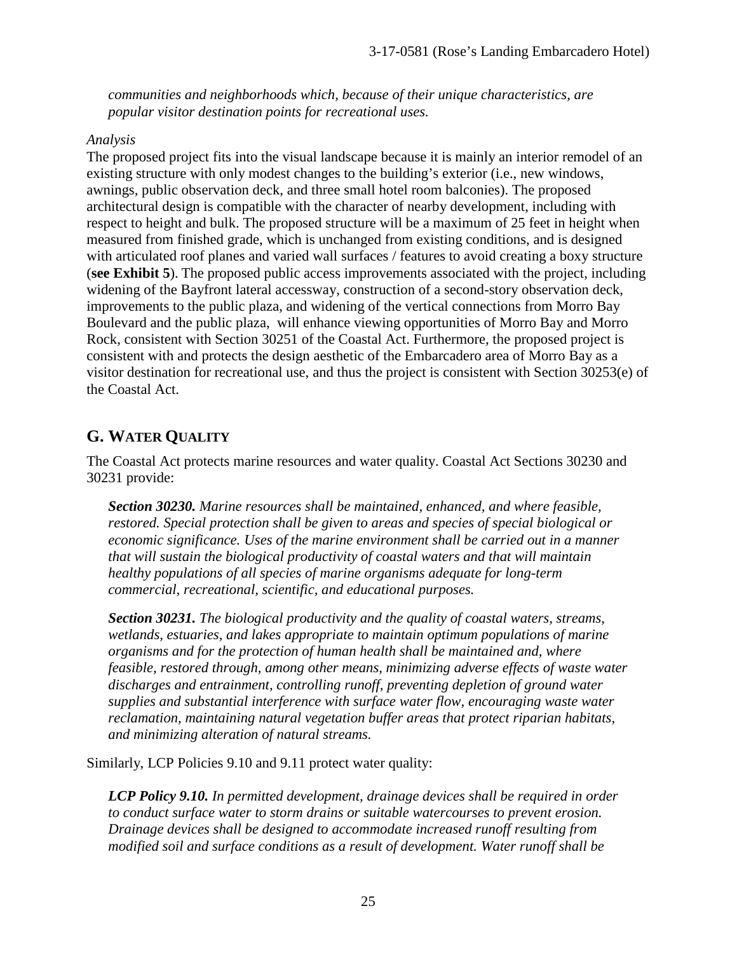*communities and neighborhoods which, because of their unique characteristics, are popular visitor destination points for recreational uses.* 

#### *Analysis*

The proposed project fits into the visual landscape because it is mainly an interior remodel of an existing structure with only modest changes to the building's exterior (i.e., new windows, awnings, public observation deck, and three small hotel room balconies). The proposed architectural design is compatible with the character of nearby development, including with respect to height and bulk. The proposed structure will be a maximum of 25 feet in height when measured from finished grade, which is unchanged from existing conditions, and is designed with articulated roof planes and varied wall surfaces / features to avoid creating a boxy structure (**see Exhibit 5**). The proposed public access improvements associated with the project, including widening of the Bayfront lateral accessway, construction of a second-story observation deck, improvements to the public plaza, and widening of the vertical connections from Morro Bay Boulevard and the public plaza, will enhance viewing opportunities of Morro Bay and Morro Rock, consistent with Section 30251 of the Coastal Act. Furthermore, the proposed project is consistent with and protects the design aesthetic of the Embarcadero area of Morro Bay as a visitor destination for recreational use, and thus the project is consistent with Section 30253(e) of the Coastal Act.

# **G. WATER QUALITY**

The Coastal Act protects marine resources and water quality. Coastal Act Sections 30230 and 30231 provide:

*Section 30230. Marine resources shall be maintained, enhanced, and where feasible, restored. Special protection shall be given to areas and species of special biological or economic significance. Uses of the marine environment shall be carried out in a manner that will sustain the biological productivity of coastal waters and that will maintain healthy populations of all species of marine organisms adequate for long-term commercial, recreational, scientific, and educational purposes.* 

*Section 30231. The biological productivity and the quality of coastal waters, streams, wetlands, estuaries, and lakes appropriate to maintain optimum populations of marine organisms and for the protection of human health shall be maintained and, where feasible, restored through, among other means, minimizing adverse effects of waste water discharges and entrainment, controlling runoff, preventing depletion of ground water supplies and substantial interference with surface water flow, encouraging waste water reclamation, maintaining natural vegetation buffer areas that protect riparian habitats, and minimizing alteration of natural streams.* 

Similarly, LCP Policies 9.10 and 9.11 protect water quality:

*LCP Policy 9.10. In permitted development, drainage devices shall be required in order to conduct surface water to storm drains or suitable watercourses to prevent erosion. Drainage devices shall be designed to accommodate increased runoff resulting from modified soil and surface conditions as a result of development. Water runoff shall be*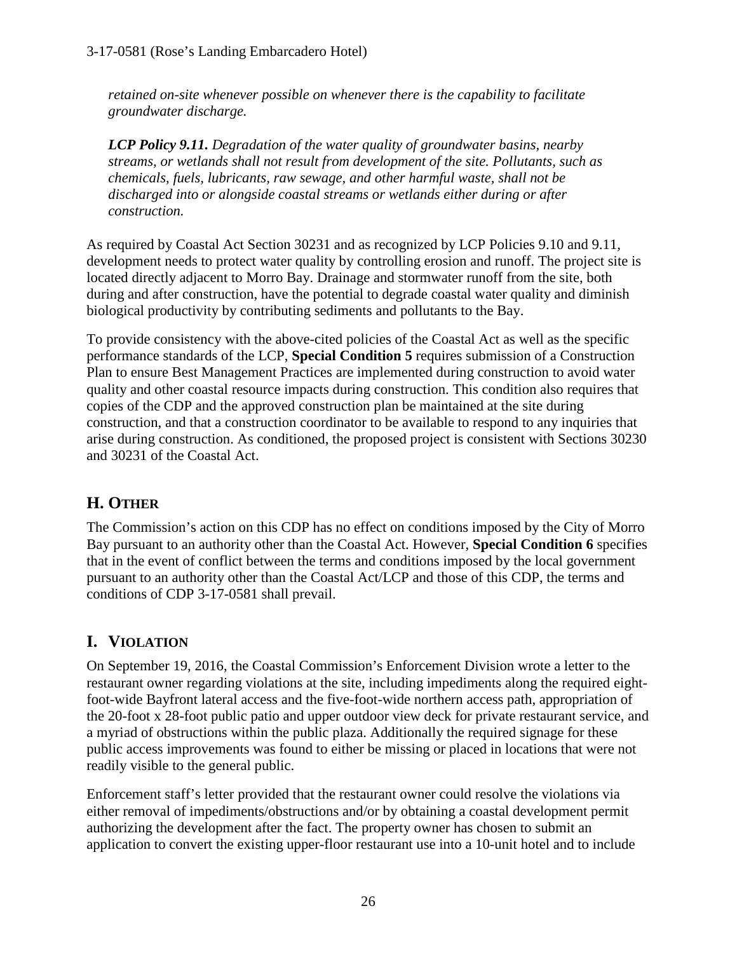*retained on-site whenever possible on whenever there is the capability to facilitate groundwater discharge.* 

*LCP Policy 9.11. Degradation of the water quality of groundwater basins, nearby streams, or wetlands shall not result from development of the site. Pollutants, such as chemicals, fuels, lubricants, raw sewage, and other harmful waste, shall not be discharged into or alongside coastal streams or wetlands either during or after construction.* 

As required by Coastal Act Section 30231 and as recognized by LCP Policies 9.10 and 9.11, development needs to protect water quality by controlling erosion and runoff. The project site is located directly adjacent to Morro Bay. Drainage and stormwater runoff from the site, both during and after construction, have the potential to degrade coastal water quality and diminish biological productivity by contributing sediments and pollutants to the Bay.

To provide consistency with the above-cited policies of the Coastal Act as well as the specific performance standards of the LCP, **Special Condition 5** requires submission of a Construction Plan to ensure Best Management Practices are implemented during construction to avoid water quality and other coastal resource impacts during construction. This condition also requires that copies of the CDP and the approved construction plan be maintained at the site during construction, and that a construction coordinator to be available to respond to any inquiries that arise during construction. As conditioned, the proposed project is consistent with Sections 30230 and 30231 of the Coastal Act.

# **H. OTHER**

The Commission's action on this CDP has no effect on conditions imposed by the City of Morro Bay pursuant to an authority other than the Coastal Act. However, **Special Condition 6** specifies that in the event of conflict between the terms and conditions imposed by the local government pursuant to an authority other than the Coastal Act/LCP and those of this CDP, the terms and conditions of CDP 3-17-0581 shall prevail.

# **I. VIOLATION**

On September 19, 2016, the Coastal Commission's Enforcement Division wrote a letter to the restaurant owner regarding violations at the site, including impediments along the required eightfoot-wide Bayfront lateral access and the five-foot-wide northern access path, appropriation of the 20-foot x 28-foot public patio and upper outdoor view deck for private restaurant service, and a myriad of obstructions within the public plaza. Additionally the required signage for these public access improvements was found to either be missing or placed in locations that were not readily visible to the general public.

Enforcement staff's letter provided that the restaurant owner could resolve the violations via either removal of impediments/obstructions and/or by obtaining a coastal development permit authorizing the development after the fact. The property owner has chosen to submit an application to convert the existing upper-floor restaurant use into a 10-unit hotel and to include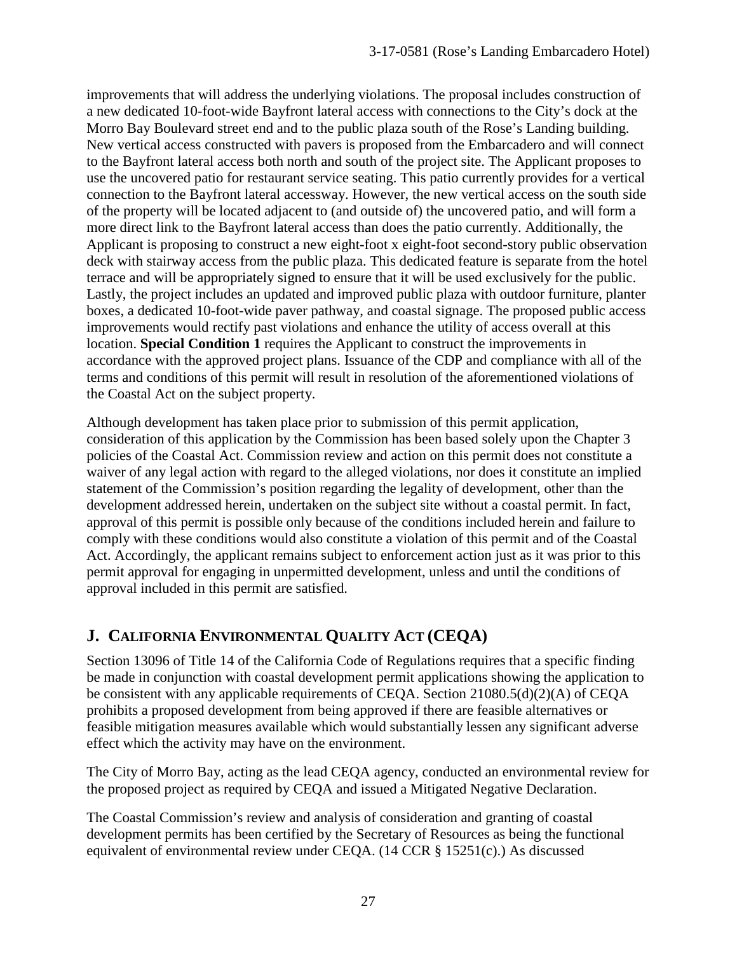improvements that will address the underlying violations. The proposal includes construction of a new dedicated 10-foot-wide Bayfront lateral access with connections to the City's dock at the Morro Bay Boulevard street end and to the public plaza south of the Rose's Landing building. New vertical access constructed with pavers is proposed from the Embarcadero and will connect to the Bayfront lateral access both north and south of the project site. The Applicant proposes to use the uncovered patio for restaurant service seating. This patio currently provides for a vertical connection to the Bayfront lateral accessway. However, the new vertical access on the south side of the property will be located adjacent to (and outside of) the uncovered patio, and will form a more direct link to the Bayfront lateral access than does the patio currently. Additionally, the Applicant is proposing to construct a new eight-foot x eight-foot second-story public observation deck with stairway access from the public plaza. This dedicated feature is separate from the hotel terrace and will be appropriately signed to ensure that it will be used exclusively for the public. Lastly, the project includes an updated and improved public plaza with outdoor furniture, planter boxes, a dedicated 10-foot-wide paver pathway, and coastal signage. The proposed public access improvements would rectify past violations and enhance the utility of access overall at this location. **Special Condition 1** requires the Applicant to construct the improvements in accordance with the approved project plans. Issuance of the CDP and compliance with all of the terms and conditions of this permit will result in resolution of the aforementioned violations of the Coastal Act on the subject property.

Although development has taken place prior to submission of this permit application, consideration of this application by the Commission has been based solely upon the Chapter 3 policies of the Coastal Act. Commission review and action on this permit does not constitute a waiver of any legal action with regard to the alleged violations, nor does it constitute an implied statement of the Commission's position regarding the legality of development, other than the development addressed herein, undertaken on the subject site without a coastal permit. In fact, approval of this permit is possible only because of the conditions included herein and failure to comply with these conditions would also constitute a violation of this permit and of the Coastal Act. Accordingly, the applicant remains subject to enforcement action just as it was prior to this permit approval for engaging in unpermitted development, unless and until the conditions of approval included in this permit are satisfied.

# **J. CALIFORNIA ENVIRONMENTAL QUALITY ACT (CEQA)**

Section 13096 of Title 14 of the California Code of Regulations requires that a specific finding be made in conjunction with coastal development permit applications showing the application to be consistent with any applicable requirements of CEQA. Section 21080.5(d)(2)(A) of CEQA prohibits a proposed development from being approved if there are feasible alternatives or feasible mitigation measures available which would substantially lessen any significant adverse effect which the activity may have on the environment.

The City of Morro Bay, acting as the lead CEQA agency, conducted an environmental review for the proposed project as required by CEQA and issued a Mitigated Negative Declaration.

The Coastal Commission's review and analysis of consideration and granting of coastal development permits has been certified by the Secretary of Resources as being the functional equivalent of environmental review under CEQA. (14 CCR § 15251(c).) As discussed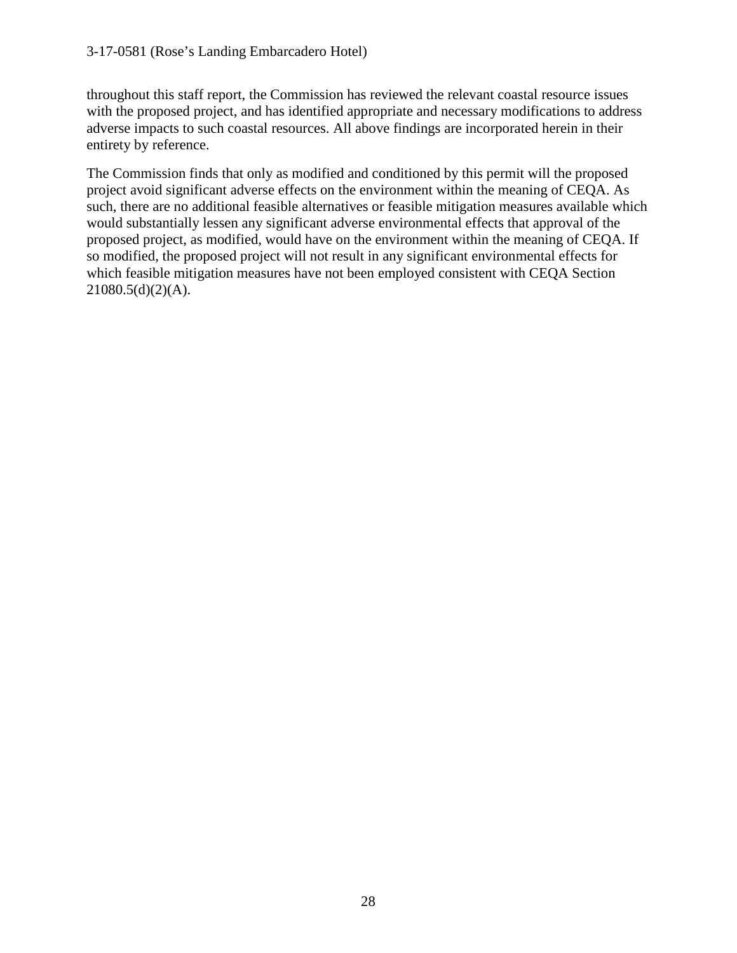#### 3-17-0581 (Rose's Landing Embarcadero Hotel)

throughout this staff report, the Commission has reviewed the relevant coastal resource issues with the proposed project, and has identified appropriate and necessary modifications to address adverse impacts to such coastal resources. All above findings are incorporated herein in their entirety by reference.

The Commission finds that only as modified and conditioned by this permit will the proposed project avoid significant adverse effects on the environment within the meaning of CEQA. As such, there are no additional feasible alternatives or feasible mitigation measures available which would substantially lessen any significant adverse environmental effects that approval of the proposed project, as modified, would have on the environment within the meaning of CEQA. If so modified, the proposed project will not result in any significant environmental effects for which feasible mitigation measures have not been employed consistent with CEQA Section  $21080.5(d)(2)(A)$ .